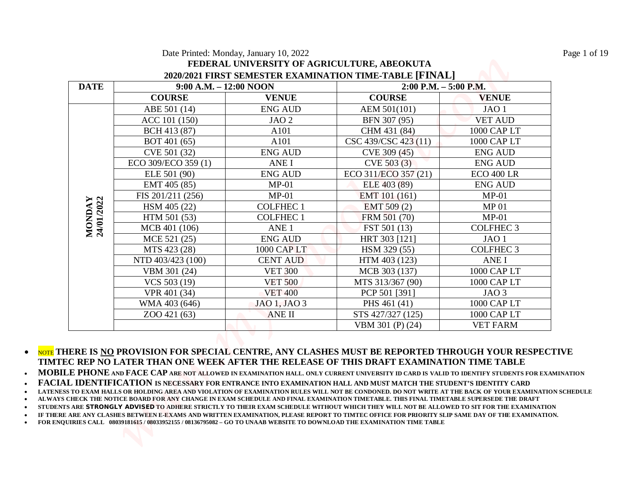|             |                           | Date Printed: Monday, January 10, 2022<br>FEDERAL UNIVERSITY OF AGRICULTURE, ABEOKUTA | 2020/2021 FIRST SEMESTER EXAMINATION TIME-TABLE [FINAL] |                   |
|-------------|---------------------------|---------------------------------------------------------------------------------------|---------------------------------------------------------|-------------------|
| <b>DATE</b> | $9:00$ A.M. $-12:00$ NOON |                                                                                       | $2:00$ P.M. $-5:00$ P.M.                                |                   |
|             | <b>COURSE</b>             | <b>VENUE</b>                                                                          | <b>COURSE</b>                                           | <b>VENUE</b>      |
|             | ABE 501 (14)              | <b>ENG AUD</b>                                                                        | AEM 501(101)                                            | JAO <sub>1</sub>  |
|             | ACC 101 (150)             | JAO <sub>2</sub>                                                                      | BFN 307 (95)                                            | <b>VET AUD</b>    |
|             | BCH 413 (87)              | A101                                                                                  | CHM 431 (84)                                            | 1000 CAP LT       |
|             | BOT 401 (65)              | A101                                                                                  | CSC 439/CSC 423 (11)                                    | 1000 CAP LT       |
|             | CVE 501 (32)              | <b>ENG AUD</b>                                                                        | CVE 309 (45)                                            | <b>ENG AUD</b>    |
|             | ECO 309/ECO 359 (1)       | <b>ANEI</b>                                                                           | CVE 503 (3)                                             | <b>ENG AUD</b>    |
|             | ELE 501 (90)              | <b>ENG AUD</b>                                                                        | ECO 311/ECO 357 (21)                                    | <b>ECO 400 LR</b> |
|             | EMT 405 (85)              | $MP-01$                                                                               | ELE 403 (89)                                            | <b>ENG AUD</b>    |
|             | FIS 201/211 (256)         | $MP-01$                                                                               | EMT 101 (161)                                           | $MP-01$           |
|             | HSM 405 (22)              | <b>COLFHEC1</b>                                                                       | $EMT$ 509 (2)                                           | MP <sub>01</sub>  |
|             | HTM 501 (53)              | <b>COLFHEC1</b>                                                                       | FRM 501 (70)                                            | $MP-01$           |
|             | MCB 401 (106)             | ANE <sub>1</sub>                                                                      | FST 501 (13)                                            | <b>COLFHEC 3</b>  |
|             | MCE 521 (25)              | <b>ENG AUD</b>                                                                        | HRT 303 [121]                                           | JAO <sub>1</sub>  |
|             | MTS 423 (28)              | 1000 CAP LT                                                                           | HSM 329 (55)                                            | <b>COLFHEC 3</b>  |
|             | NTD 403/423 (100)         | <b>CENT AUD</b>                                                                       | HTM 403 (123)                                           | ANE I             |
|             | VBM 301 (24)              | <b>VET 300</b>                                                                        | MCB 303 (137)                                           | 1000 CAP LT       |
|             | VCS 503 (19)              | <b>VET 500</b>                                                                        | MTS 313/367 (90)                                        | 1000 CAP LT       |
|             | VPR 401 (34)              | <b>VET 400</b>                                                                        | PCP 501 [391]                                           | JAO <sub>3</sub>  |
|             | WMA 403 (646)             | JAO 1, JAO 3                                                                          | PHS 461 (41)                                            | 1000 CAP LT       |
|             | ZOO 421 (63)              | <b>ANE II</b>                                                                         | STS 427/327 (125)                                       | 1000 CAP LT       |
|             |                           |                                                                                       | VBM 301 (P) (24)                                        | <b>VET FARM</b>   |

 NOTE **THERE IS NO PROVISION FOR SPECIAL CENTRE, ANY CLASHES MUST BE REPORTED THROUGH YOUR RESPECTIVE TIMTEC REP NO LATER THAN ONE WEEK AFTER THE RELEASE OF THIS DRAFT EXAMINATION TIME TABLE**

**MOBILE PHONE AND FACE CAP ARE NOT ALLOWED IN EXAMINATION HALL. ONLY CURRENT UNIVERSITY ID CARD IS VALID TO IDENTIFY STUDENTS FOR EXAMINATION** 

**FACIAL IDENTIFICATION IS NECESSARY FOR ENTRANCE INTO EXAMINATION HALL AND MUST MATCH THE STUDENT'S IDENTITY CARD**

**LATENESS TO EXAM HALLS OR HOLDING AREA AND VIOLATION OF EXAMINATION RULES WILL NOT BE CONDONED. DO NOT WRITE AT THE BACK OF YOUR EXAMINATION SCHEDULE**

**ALWAYS CHECK THE NOTICE BOARD FOR ANY CHANGE IN EXAM SCHEDULE AND FINAL EXAMINATION TIMETABLE. THIS FINAL TIMETABLE SUPERSEDE THE DRAFT**

**STUDENTS ARE STRONGLY ADVISED TO ADHERE STRICTLY TO THEIR EXAM SCHEDULE WITHOUT WHICH THEY WILL NOT BE ALLOWED TO SIT FOR THE EXAMINATION**

**IF THERE ARE ANY CLASHES BETWEEN E-EXAMS AND WRITTEN EXAMINATION, PLEASE REPORT TO TIMTEC OFFICE FOR PRIORITY SLIP SAME DAY OF THE EXAMINATION.**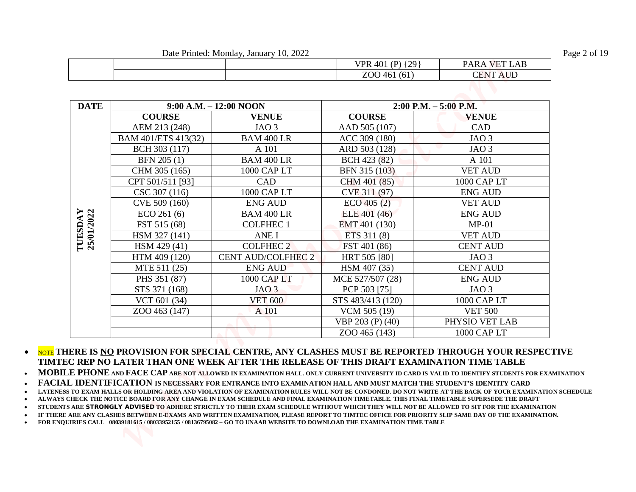Date Printed: Monday, January 10, 2022 Page 2 of 19

|  | 170<br>.40 <sup>1</sup><br>(P)<br>VPR. | <b>PARA</b><br>$\mathcal{A} \mathbf{B}$<br>$\sim$        |
|--|----------------------------------------|----------------------------------------------------------|
|  | $-1$<br>700<br>(61<br>46<br>ΖU         | <b>ATTE</b><br>$\sim$ T <sub>n</sub><br>`!\\<br>-<br>AUL |

|             |                     | Date Printed: Monday, January 10, 2022 | VPR 401 (P) {29}  | PARA VET LAB             |
|-------------|---------------------|----------------------------------------|-------------------|--------------------------|
|             |                     |                                        | ZOO 461 (61)      | <b>CENT AUD</b>          |
|             |                     |                                        |                   |                          |
| <b>DATE</b> |                     | 9:00 A.M. - 12:00 NOON                 |                   | $2:00$ P.M. $-5:00$ P.M. |
|             | <b>COURSE</b>       | <b>VENUE</b>                           | <b>COURSE</b>     | <b>VENUE</b>             |
|             | AEM 213 (248)       | JAO <sub>3</sub>                       | AAD 505 (107)     | CAD                      |
|             | BAM 401/ETS 413(32) | <b>BAM 400 LR</b>                      | ACC 309 (180)     | JAO <sub>3</sub>         |
|             | BCH 303 (117)       | A 101                                  | ARD 503 (128)     | JAO <sub>3</sub>         |
|             | BFN 205 (1)         | <b>BAM 400 LR</b>                      | BCH 423 (82)      | A 101                    |
|             | CHM 305 (165)       | 1000 CAP LT                            | BFN 315 (103)     | <b>VET AUD</b>           |
|             | CPT 501/511 [93]    | CAD                                    | CHM 401 (85)      | 1000 CAP LT              |
|             | CSC 307 (116)       | 1000 CAP LT                            | CVE 311 (97)      | <b>ENG AUD</b>           |
|             | CVE 509 (160)       | <b>ENG AUD</b>                         | $ECO$ 405 (2)     | <b>VET AUD</b>           |
|             | ECO 261(6)          | <b>BAM 400 LR</b>                      | ELE 401 (46)      | <b>ENG AUD</b>           |
|             | FST 515 (68)        | <b>COLFHEC1</b>                        | EMT 401 (130)     | $MP-01$                  |
|             | HSM 327 (141)       | ANE I                                  | ETS 311 (8)       | <b>VET AUD</b>           |
|             | HSM 429 (41)        | <b>COLFHEC 2</b>                       | FST 401 (86)      | <b>CENT AUD</b>          |
|             | HTM 409 (120)       | <b>CENT AUD/COLFHEC 2</b>              | HRT 505 [80]      | JAO <sub>3</sub>         |
|             | MTE 511 (25)        | <b>ENG AUD</b>                         | HSM 407 (35)      | <b>CENT AUD</b>          |
|             | PHS 351 (87)        | 1000 CAP LT                            | MCE 527/507 (28)  | <b>ENG AUD</b>           |
|             | STS 371 (168)       | JAO <sub>3</sub>                       | PCP 503 [75]      | JAO <sub>3</sub>         |
|             | VCT 601 (34)        | <b>VET 600</b>                         | STS 483/413 (120) | 1000 CAP LT              |
|             | ZOO 463 (147)       | A 101                                  | VCM 505 (19)      | <b>VET 500</b>           |
|             |                     |                                        | VBP 203 (P) (40)  | PHYSIO VET LAB           |
|             |                     |                                        | ZOO 465 (143)     | 1000 CAP LT              |

**MOBILE PHONE AND FACE CAP ARE NOT ALLOWED IN EXAMINATION HALL. ONLY CURRENT UNIVERSITY ID CARD IS VALID TO IDENTIFY STUDENTS FOR EXAMINATION** 

**FACIAL IDENTIFICATION IS NECESSARY FOR ENTRANCE INTO EXAMINATION HALL AND MUST MATCH THE STUDENT'S IDENTITY CARD**

**LATENESS TO EXAM HALLS OR HOLDING AREA AND VIOLATION OF EXAMINATION RULES WILL NOT BE CONDONED. DO NOT WRITE AT THE BACK OF YOUR EXAMINATION SCHEDULE** 

**ALWAYS CHECK THE NOTICE BOARD FOR ANY CHANGE IN EXAM SCHEDULE AND FINAL EXAMINATION TIMETABLE. THIS FINAL TIMETABLE SUPERSEDE THE DRAFT** 

**STUDENTS ARE STRONGLY ADVISED TO ADHERE STRICTLY TO THEIR EXAM SCHEDULE WITHOUT WHICH THEY WILL NOT BE ALLOWED TO SIT FOR THE EXAMINATION** 

**IF THERE ARE ANY CLASHES BETWEEN E-EXAMS AND WRITTEN EXAMINATION, PLEASE REPORT TO TIMTEC OFFICE FOR PRIORITY SLIP SAME DAY OF THE EXAMINATION.**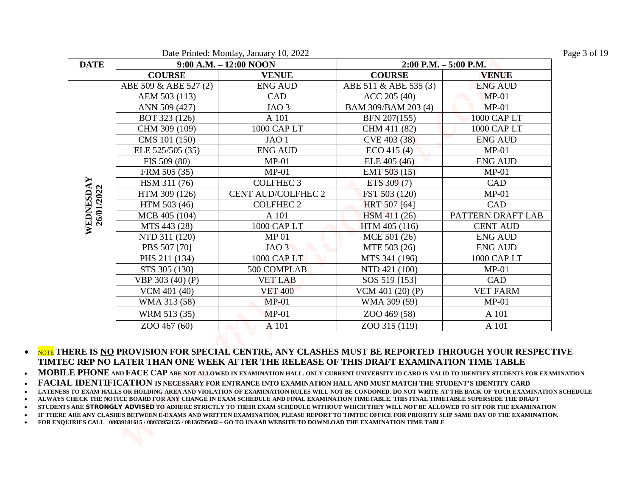|             |                       | Date Printed: Monday, January 10, 2022 |                       |                          |
|-------------|-----------------------|----------------------------------------|-----------------------|--------------------------|
| <b>DATE</b> |                       | $9:00$ A.M. $-12:00$ NOON              |                       | $2:00$ P.M. $-5:00$ P.M. |
|             | <b>COURSE</b>         | <b>VENUE</b>                           | <b>COURSE</b>         | <b>VENUE</b>             |
|             | ABE 509 & ABE 527 (2) | <b>ENG AUD</b>                         | ABE 511 & ABE 535 (3) | <b>ENG AUD</b>           |
|             | AEM 503 (113)         | CAD                                    | ACC 205 (40)          | $MP-01$                  |
|             | ANN 509 (427)         | JAO <sub>3</sub>                       | BAM 309/BAM 203 (4)   | $MP-01$                  |
|             | BOT 323 (126)         | A 101                                  | BFN 207(155)          | 1000 CAP LT              |
|             | CHM 309 (109)         | 1000 CAP LT                            | CHM 411 (82)          | 1000 CAP LT              |
|             | CMS 101 (150)         | JAO <sub>1</sub>                       | CVE 403 (38)          | <b>ENG AUD</b>           |
|             | ELE 525/505 (35)      | <b>ENG AUD</b>                         | $ECO$ 415 (4)         | $MP-01$                  |
|             | FIS 509 (80)          | $MP-01$                                | ELE 405 (46)          | <b>ENG AUD</b>           |
|             | FRM 505 (35)          | $MP-01$                                | EMT 503 (15)          | $MP-01$                  |
|             | HSM 311 (76)          | <b>COLFHEC 3</b>                       | ETS 309 (7)           | CAD                      |
|             | HTM 309 (126)         | <b>CENT AUD/COLFHEC 2</b>              | FST 503 (120)         | $MP-01$                  |
|             | HTM 503 (46)          | <b>COLFHEC 2</b>                       | HRT 507 [64]          | CAD                      |
|             | MCB 405 (104)         | A 101                                  | HSM 411 (26)          | PATTERN DRAFT LAB        |
|             | MTS 443 (28)          | 1000 CAP LT                            | HTM 405 (116)         | <b>CENT AUD</b>          |
|             | NTD 311 (120)         | MP <sub>01</sub>                       | MCE 501 (26)          | <b>ENG AUD</b>           |
|             | PBS 507 [70]          | JAO <sub>3</sub>                       | MTE 503 (26)          | <b>ENG AUD</b>           |
|             | PHS 211 (134)         | 1000 CAP LT                            | MTS 341 (196)         | 1000 CAP LT              |
|             | STS 305 (130)         | 500 COMPLAB                            | NTD 421 (100)         | $MP-01$                  |
|             | VBP 303 (40) (P)      | <b>VET LAB</b>                         | SOS 519 [153]         | CAD                      |
|             | VCM 401 (40)          | <b>VET 400</b>                         | VCM 401 $(20)$ $(P)$  | <b>VET FARM</b>          |
|             | WMA 313 (58)          | $MP-01$                                | WMA 309 (59)          | $MP-01$                  |
|             | WRM 513 (35)          | $MP-01$                                | ZOO 469 (58)          | A 101                    |
|             | ZOO 467 (60)          | A 101                                  | ZOO 315 (119)         | A 101                    |

**MOBILE PHONE AND FACE CAP ARE NOT ALLOWED IN EXAMINATION HALL. ONLY CURRENT UNIVERSITY ID CARD IS VALID TO IDENTIFY STUDENTS FOR EXAMINATION** 

**FACIAL IDENTIFICATION IS NECESSARY FOR ENTRANCE INTO EXAMINATION HALL AND MUST MATCH THE STUDENT'S IDENTITY CARD**

**LATENESS TO EXAM HALLS OR HOLDING AREA AND VIOLATION OF EXAMINATION RULES WILL NOT BE CONDONED. DO NOT WRITE AT THE BACK OF YOUR EXAMINATION SCHEDULE** 

**ALWAYS CHECK THE NOTICE BOARD FOR ANY CHANGE IN EXAM SCHEDULE AND FINAL EXAMINATION TIMETABLE. THIS FINAL TIMETABLE SUPERSEDE THE DRAFT** 

**STUDENTS ARE STRONGLY ADVISED TO ADHERE STRICTLY TO THEIR EXAM SCHEDULE WITHOUT WHICH THEY WILL NOT BE ALLOWED TO SIT FOR THE EXAMINATION** 

**IF THERE ARE ANY CLASHES BETWEEN E-EXAMS AND WRITTEN EXAMINATION, PLEASE REPORT TO TIMTEC OFFICE FOR PRIORITY SLIP SAME DAY OF THE EXAMINATION.**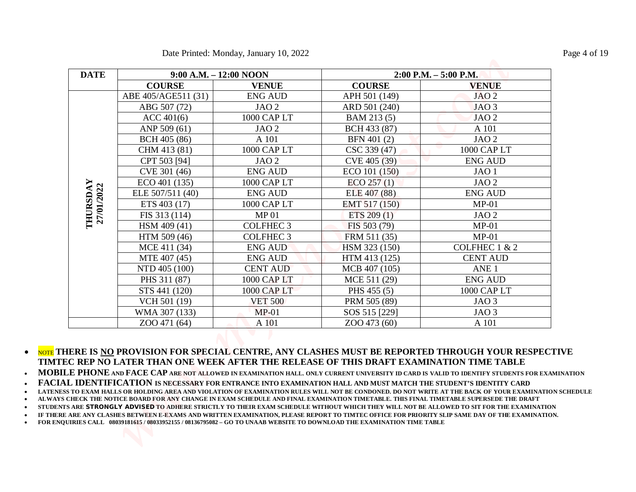|             |                        | Date Printed: Monday, January 10, 2022 |               |                       |
|-------------|------------------------|----------------------------------------|---------------|-----------------------|
| <b>DATE</b> | 9:00 A.M. - 12:00 NOON |                                        |               | 2:00 P.M. - 5:00 P.M. |
|             | <b>COURSE</b>          | <b>VENUE</b>                           | <b>COURSE</b> | <b>VENUE</b>          |
|             | ABE 405/AGE511 (31)    | <b>ENG AUD</b>                         | APH 501 (149) | JAO <sub>2</sub>      |
|             | ABG 507 (72)           | JAO <sub>2</sub>                       | ARD 501 (240) | JAO <sub>3</sub>      |
|             | ACC 401(6)             | 1000 CAP LT                            | BAM 213 (5)   | JAO <sub>2</sub>      |
|             | ANP 509 (61)           | JAO <sub>2</sub>                       | BCH 433 (87)  | A 101                 |
|             | BCH 405 (86)           | A 101                                  | BFN 401 (2)   | JAO <sub>2</sub>      |
|             | CHM 413 (81)           | 1000 CAP LT                            | CSC 339 (47)  | 1000 CAP LT           |
|             | CPT 503 [94]           | JAO <sub>2</sub>                       | CVE 405 (39)  | <b>ENG AUD</b>        |
|             | CVE 301 (46)           | <b>ENG AUD</b>                         | ECO 101 (150) | JAO <sub>1</sub>      |
| 27/01/2022  | ECO 401 (135)          | 1000 CAP LT                            | ECO 257(1)    | JAO <sub>2</sub>      |
|             | ELE 507/511 (40)       | <b>ENG AUD</b>                         | ELE 407 (88)  | <b>ENG AUD</b>        |
|             | ETS 403 (17)           | 1000 CAP LT                            | EMT 517 (150) | $MP-01$               |
|             | FIS 313 (114)          | MP <sub>01</sub>                       | ETS $209(1)$  | JAO <sub>2</sub>      |
|             | HSM 409 (41)           | <b>COLFHEC 3</b>                       | FIS 503 (79)  | $MP-01$               |
|             | HTM 509 (46)           | <b>COLFHEC 3</b>                       | FRM 511 (35)  | $MP-01$               |
|             | MCE 411 (34)           | <b>ENG AUD</b>                         | HSM 323 (150) | COLFHEC 1 & 2         |
|             | MTE 407 (45)           | <b>ENG AUD</b>                         | HTM 413 (125) | <b>CENT AUD</b>       |
|             | NTD 405 (100)          | <b>CENT AUD</b>                        | MCB 407 (105) | ANE <sub>1</sub>      |
|             | PHS 311 (87)           | 1000 CAP LT                            | MCE 511 (29)  | <b>ENG AUD</b>        |
|             | STS 441 (120)          | 1000 CAP LT                            | PHS 455 (5)   | 1000 CAP LT           |
|             | VCH 501 (19)           | <b>VET 500</b>                         | PRM 505 (89)  | JAO <sub>3</sub>      |
|             | WMA 307 (133)          | $MP-01$                                | SOS 515 [229] | JAO <sub>3</sub>      |
|             | ZOO 471 (64)           | A 101                                  | ZOO 473 (60)  | A 101                 |

**•** NOTE THERE IS NO PROVISION FOR SPECIAL CENTRE, ANY CLASHES MUST BE REPORTED THROUGH YOUR RESPECTIVE **TIMTEC REP NO LATER THAN ONE WEEK AFTER THE RELEASE OF THIS DRAFT EXAMINATION TIME TABLE** 

**MOBILE PHONE AND FACE CAP ARE NOT ALLOWED IN EXAMINATION HALL. ONLY CURRENT UNIVERSITY ID CARD IS VALID TO IDENTIFY STUDENTS FOR EXAMINATION** 

**FACIAL IDENTIFICATION IS NECESSARY FOR ENTRANCE INTO EXAMINATION HALL AND MUST MATCH THE STUDENT'S IDENTITY CARD**

**LATENESS TO EXAM HALLS OR HOLDING AREA AND VIOLATION OF EXAMINATION RULES WILL NOT BE CONDONED. DO NOT WRITE AT THE BACK OF YOUR EXAMINATION SCHEDULE** 

**ALWAYS CHECK THE NOTICE BOARD FOR ANY CHANGE IN EXAM SCHEDULE AND FINAL EXAMINATION TIMETABLE. THIS FINAL TIMETABLE SUPERSEDE THE DRAFT** 

**STUDENTS ARE STRONGLY ADVISED TO ADHERE STRICTLY TO THEIR EXAM SCHEDULE WITHOUT WHICH THEY WILL NOT BE ALLOWED TO SIT FOR THE EXAMINATION** 

**IF THERE ARE ANY CLASHES BETWEEN E-EXAMS AND WRITTEN EXAMINATION, PLEASE REPORT TO TIMTEC OFFICE FOR PRIORITY SLIP SAME DAY OF THE EXAMINATION.**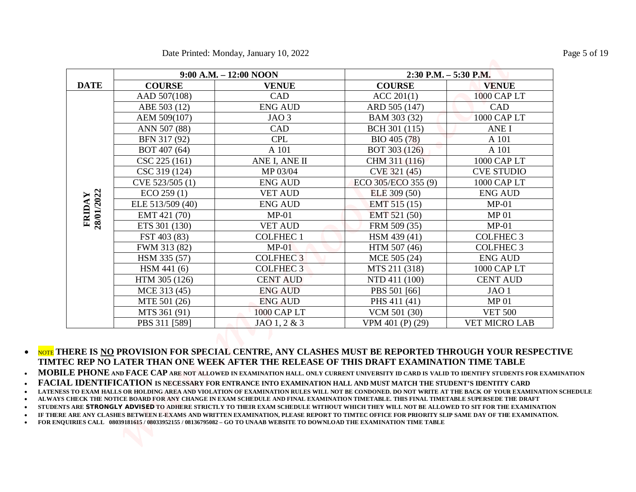|             |                  | Date Printed: Monday, January 10, 2022 |                       |                      |
|-------------|------------------|----------------------------------------|-----------------------|----------------------|
|             |                  | $9:00$ A.M. $-12:00$ NOON              | 2:30 P.M. - 5:30 P.M. |                      |
| <b>DATE</b> | <b>COURSE</b>    | <b>VENUE</b>                           | <b>COURSE</b>         | <b>VENUE</b>         |
|             | AAD 507(108)     | CAD                                    | ACC 201(1)            | 1000 CAP LT          |
|             | ABE 503 (12)     | <b>ENG AUD</b>                         | ARD 505 (147)         | CAD                  |
|             | AEM 509(107)     | JAO <sub>3</sub>                       | BAM 303 (32)          | 1000 CAP LT          |
|             | ANN 507 (88)     | CAD                                    | BCH 301 (115)         | <b>ANEI</b>          |
|             | BFN 317 (92)     | <b>CPL</b>                             | BIO 405 (78)          | A 101                |
|             | BOT 407 (64)     | A 101                                  | BOT 303 (126)         | A 101                |
|             | CSC 225 (161)    | ANE I, ANE II                          | CHM 311 (116)         | 1000 CAP LT          |
|             | CSC 319 (124)    | MP 03/04                               | CVE 321 (45)          | <b>CVE STUDIO</b>    |
|             | CVE 523/505 (1)  | <b>ENG AUD</b>                         | ECO 305/ECO 355 (9)   | 1000 CAP LT          |
|             | ECO 259(1)       | <b>VET AUD</b>                         | ELE 309 (50)          | <b>ENG AUD</b>       |
| 28/01/2022  | ELE 513/509 (40) | <b>ENG AUD</b>                         | EMT 515 (15)          | $MP-01$              |
| FRIDAY      | EMT 421 (70)     | $MP-01$                                | EMT 521 (50)          | <b>MP01</b>          |
|             | ETS 301 (130)    | <b>VET AUD</b>                         | FRM 509 (35)          | $MP-01$              |
|             | FST 403 (83)     | <b>COLFHEC1</b>                        | HSM 439 (41)          | <b>COLFHEC 3</b>     |
|             | FWM 313 (82)     | $MP-01$                                | HTM 507 (46)          | <b>COLFHEC 3</b>     |
|             | HSM 335 (57)     | <b>COLFHEC3</b>                        | MCE 505 (24)          | <b>ENG AUD</b>       |
|             | HSM 441 (6)      | <b>COLFHEC 3</b>                       | MTS 211 (318)         | 1000 CAP LT          |
|             | HTM 305 (126)    | <b>CENT AUD</b>                        | NTD 411 (100)         | <b>CENT AUD</b>      |
|             | MCE 313 (45)     | <b>ENG AUD</b>                         | PBS 501 [66]          | JAO <sub>1</sub>     |
|             | MTE 501 (26)     | <b>ENG AUD</b>                         | PHS 411 (41)          | <b>MP01</b>          |
|             | MTS 361 (91)     | 1000 CAP LT                            | VCM 501 (30)          | <b>VET 500</b>       |
|             | PBS 311 [589]    | $JAO$ 1, 2 & 3                         | VPM 401 (P) (29)      | <b>VET MICRO LAB</b> |

**•** NOTE THERE IS NO PROVISION FOR SPECIAL CENTRE, ANY CLASHES MUST BE REPORTED THROUGH YOUR RESPECTIVE **TIMTEC REP NO LATER THAN ONE WEEK AFTER THE RELEASE OF THIS DRAFT EXAMINATION TIME TABLE** 

**MOBILE PHONE AND FACE CAP ARE NOT ALLOWED IN EXAMINATION HALL. ONLY CURRENT UNIVERSITY ID CARD IS VALID TO IDENTIFY STUDENTS FOR EXAMINATION** 

**FACIAL IDENTIFICATION IS NECESSARY FOR ENTRANCE INTO EXAMINATION HALL AND MUST MATCH THE STUDENT'S IDENTITY CARD**

**LATENESS TO EXAM HALLS OR HOLDING AREA AND VIOLATION OF EXAMINATION RULES WILL NOT BE CONDONED. DO NOT WRITE AT THE BACK OF YOUR EXAMINATION SCHEDULE** 

**ALWAYS CHECK THE NOTICE BOARD FOR ANY CHANGE IN EXAM SCHEDULE AND FINAL EXAMINATION TIMETABLE. THIS FINAL TIMETABLE SUPERSEDE THE DRAFT** 

**STUDENTS ARE STRONGLY ADVISED TO ADHERE STRICTLY TO THEIR EXAM SCHEDULE WITHOUT WHICH THEY WILL NOT BE ALLOWED TO SIT FOR THE EXAMINATION** 

**IF THERE ARE ANY CLASHES BETWEEN E-EXAMS AND WRITTEN EXAMINATION, PLEASE REPORT TO TIMTEC OFFICE FOR PRIORITY SLIP SAME DAY OF THE EXAMINATION.**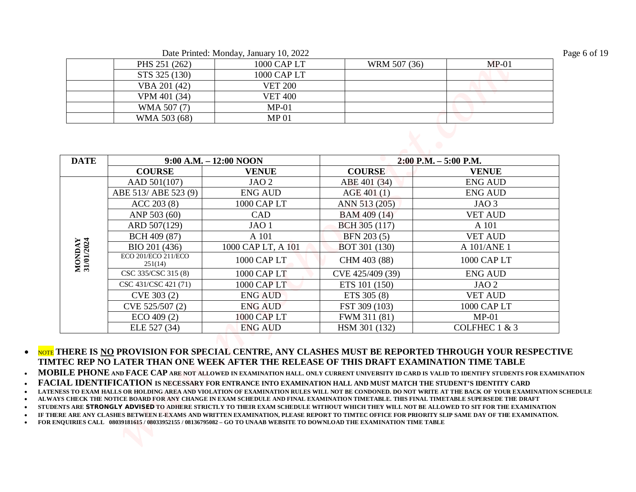Date Printed: Monday, January 10, 2022 Page 6 of 19

| PHS 251 (262) | 1000 CAP LT    | WRM 507 (36) | $MP-01$ |
|---------------|----------------|--------------|---------|
| STS 325 (130) | 1000 CAP LT    |              |         |
| VBA 201 (42)  | <b>VET 200</b> |              |         |
| VPM 401 (34)  | <b>VET 400</b> |              |         |
| WMA 507 (7)   | $MP-01$        |              |         |
| WMA 503 (68)  | MP 01          |              |         |

|                            |                               | Date Printed: Monday, January 10, 2022 |                               |                                |
|----------------------------|-------------------------------|----------------------------------------|-------------------------------|--------------------------------|
|                            | PHS 251 (262)                 | 1000 CAP LT                            | WRM 507 (36)                  | $MP-01$                        |
|                            | STS 325 (130)                 | 1000 CAP LT                            |                               |                                |
|                            | VBA 201 (42)                  | <b>VET 200</b>                         |                               |                                |
|                            | VPM 401 (34)                  | <b>VET 400</b>                         |                               |                                |
|                            | WMA 507 (7)                   | $MP-01$                                |                               |                                |
|                            | WMA 503 (68)                  | MP <sub>01</sub>                       |                               |                                |
|                            | <b>COURSE</b><br>AAD 501(107) | <b>VENUE</b><br>JAO <sub>2</sub>       | <b>COURSE</b><br>ABE 401 (34) | <b>VENUE</b><br><b>ENG AUD</b> |
|                            |                               |                                        |                               |                                |
|                            | ABE 513/ ABE 523 (9)          | <b>ENG AUD</b>                         | AGE 401 (1)                   | <b>ENG AUD</b>                 |
|                            | ACC 203 (8)                   | 1000 CAP LT                            | ANN 513 (205)                 | JAO <sub>3</sub>               |
|                            | ANP 503 (60)                  | CAD                                    | BAM 409 (14)                  | <b>VET AUD</b>                 |
|                            | ARD 507(129)                  | JAO <sub>1</sub>                       | BCH 305 (117)                 | A 101                          |
|                            | BCH 409 (87)<br>BIO 201 (436) | A 101<br>1000 CAP LT, A 101            | BFN 203 (5)                   | <b>VET AUD</b><br>A 101/ANE 1  |
|                            |                               | 1000 CAP LT                            | BOT 301 (130)                 | 1000 CAP LT                    |
|                            | ECO 201/ECO 211/ECO           |                                        | CHM 403 (88)                  |                                |
| <b>IONDAY</b><br>1/01/2024 | 251(14)                       |                                        |                               |                                |
|                            | CSC 335/CSC 315 (8)           | 1000 CAP LT                            | CVE 425/409 (39)              | <b>ENG AUD</b>                 |
|                            | CSC 431/CSC 421 (71)          | 1000 CAP LT                            | ETS 101 (150)                 | JAO <sub>2</sub>               |
|                            | CVE 303 (2)                   | <b>ENG AUD</b>                         | ETS 305 (8)                   | <b>VET AUD</b>                 |
| ⊠ ສ                        | CVE 525/507 (2)<br>ECO 409(2) | <b>ENG AUD</b><br><b>1000 CAP LT</b>   | FST 309 (103)<br>FWM 311 (81) | 1000 CAP LT<br>$MP-01$         |
|                            |                               |                                        |                               |                                |

**MOBILE PHONE AND FACE CAP ARE NOT ALLOWED IN EXAMINATION HALL. ONLY CURRENT UNIVERSITY ID CARD IS VALID TO IDENTIFY STUDENTS FOR EXAMINATION** 

**FACIAL IDENTIFICATION IS NECESSARY FOR ENTRANCE INTO EXAMINATION HALL AND MUST MATCH THE STUDENT'S IDENTITY CARD**

**LATENESS TO EXAM HALLS OR HOLDING AREA AND VIOLATION OF EXAMINATION RULES WILL NOT BE CONDONED. DO NOT WRITE AT THE BACK OF YOUR EXAMINATION SCHEDULE** 

**ALWAYS CHECK THE NOTICE BOARD FOR ANY CHANGE IN EXAM SCHEDULE AND FINAL EXAMINATION TIMETABLE. THIS FINAL TIMETABLE SUPERSEDE THE DRAFT** 

**STUDENTS ARE STRONGLY ADVISED TO ADHERE STRICTLY TO THEIR EXAM SCHEDULE WITHOUT WHICH THEY WILL NOT BE ALLOWED TO SIT FOR THE EXAMINATION** 

**IF THERE ARE ANY CLASHES BETWEEN E-EXAMS AND WRITTEN EXAMINATION, PLEASE REPORT TO TIMTEC OFFICE FOR PRIORITY SLIP SAME DAY OF THE EXAMINATION.**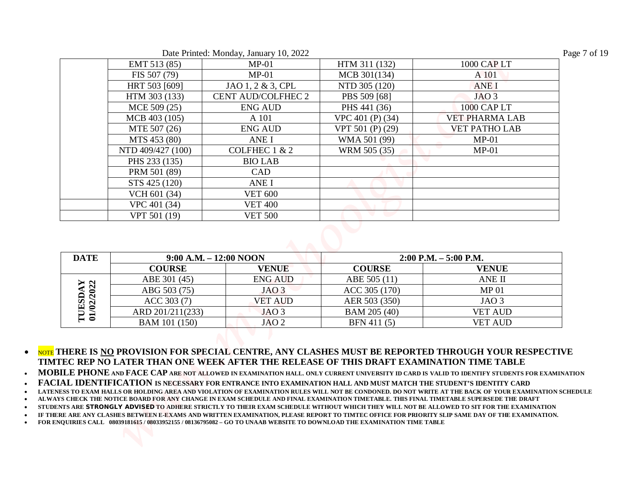| Date Printed: Monday, January 10, 2022 | Page 7 of 19 |
|----------------------------------------|--------------|
|----------------------------------------|--------------|

| EMT 513 (85)                      |                                      |                             |                                  |
|-----------------------------------|--------------------------------------|-----------------------------|----------------------------------|
|                                   | $MP-01$                              | HTM 311 (132)               | 1000 CAP LT                      |
| FIS 507 (79)                      | $MP-01$                              | MCB 301(134)                | A 101                            |
| HRT 503 [609]                     | JAO 1, 2 & 3, CPL                    | NTD 305 (120)               | <b>ANEI</b>                      |
| HTM 303 (133)                     | CENT AUD/COLFHEC 2                   | PBS 509 [68]                | JAO <sub>3</sub>                 |
| MCE 509 (25)                      | <b>ENG AUD</b>                       | PHS 441 (36)                | 1000 CAP LT                      |
| MCB 403 (105)                     | A 101                                | VPC 401 (P) (34)            | <b>VET PHARMA LAB</b>            |
| MTE 507 (26)                      | <b>ENG AUD</b>                       | VPT 501 (P) (29)            | <b>VET PATHO LAB</b>             |
| MTS 453 (80)                      | <b>ANEI</b>                          | WMA 501 (99)                | $MP-01$                          |
| NTD 409/427 (100)                 | COLFHEC 1 & 2                        | WRM 505 (35)                | $MP-01$                          |
| PHS 233 (135)                     | <b>BIO LAB</b>                       |                             |                                  |
| PRM 501 (89)                      | CAD                                  |                             |                                  |
| STS 425 (120)                     | <b>ANEI</b>                          |                             |                                  |
| VCH 601 (34)                      | <b>VET 600</b>                       |                             |                                  |
| VPC 401 (34)                      | <b>VET 400</b>                       |                             |                                  |
| VPT 501 (19)                      | <b>VET 500</b>                       |                             |                                  |
|                                   |                                      |                             |                                  |
|                                   | $9:00$ A.M. $-12:00$ NOON            |                             | $2:00$ P.M. $-5:00$ P.M.         |
| <b>COURSE</b>                     | <b>VENUE</b>                         | <b>COURSE</b>               | <b>VENUE</b>                     |
| ABE 301 (45)                      | <b>ENG AUD</b>                       | ABE 505 (11)                | ANE II                           |
| ABG 503 (75)                      | JAO <sub>3</sub>                     | ACC 305 (170)               | <b>MP01</b>                      |
| ACC 303 (7)                       | <b>VET AUD</b>                       | AER 503 (350)               | JAO <sub>3</sub>                 |
| ARD 201/211(233)<br>BAM 101 (150) | JAO <sub>3</sub><br>JAO <sub>2</sub> | BAM 205 (40)<br>BFN 411 (5) | <b>VET AUD</b><br><b>VET AUD</b> |

| <b>DATE</b>                | $9:00$ A.M. $-12:00$ NOON |                  |               | $2:00$ P.M. $-5:00$ P.M. |
|----------------------------|---------------------------|------------------|---------------|--------------------------|
|                            | <b>COURSE</b>             | <b>VENUE</b>     | <b>COURSE</b> | <b>VENUE</b>             |
|                            | ABE 301 (45)              | <b>ENG AUD</b>   | ABE 505 (11)  | ANE II                   |
| JDAY<br>/2022              | ABG 503 (75)              | JAO <sub>3</sub> | ACC 305 (170) | MP <sub>01</sub>         |
| ESD                        | ACC 303 (7)               | <b>VET AUD</b>   | AER 503 (350) | JAO <sub>3</sub>         |
| $\mathfrak{D}$<br>ᄃ<br>' ತ | ARD 201/211(233)          | JAO <sub>3</sub> | BAM 205 (40)  | VET AUD                  |
|                            | BAM 101 (150)             | JAO <sub>2</sub> | BFN 411 (5)   | VET AUD                  |

**MOBILE PHONE AND FACE CAP ARE NOT ALLOWED IN EXAMINATION HALL. ONLY CURRENT UNIVERSITY ID CARD IS VALID TO IDENTIFY STUDENTS FOR EXAMINATION** 

**FACIAL IDENTIFICATION IS NECESSARY FOR ENTRANCE INTO EXAMINATION HALL AND MUST MATCH THE STUDENT'S IDENTITY CARD**

**LATENESS TO EXAM HALLS OR HOLDING AREA AND VIOLATION OF EXAMINATION RULES WILL NOT BE CONDONED. DO NOT WRITE AT THE BACK OF YOUR EXAMINATION SCHEDULE** 

**ALWAYS CHECK THE NOTICE BOARD FOR ANY CHANGE IN EXAM SCHEDULE AND FINAL EXAMINATION TIMETABLE. THIS FINAL TIMETABLE SUPERSEDE THE DRAFT** 

**STUDENTS ARE STRONGLY ADVISED TO ADHERE STRICTLY TO THEIR EXAM SCHEDULE WITHOUT WHICH THEY WILL NOT BE ALLOWED TO SIT FOR THE EXAMINATION** 

**IF THERE ARE ANY CLASHES BETWEEN E-EXAMS AND WRITTEN EXAMINATION, PLEASE REPORT TO TIMTEC OFFICE FOR PRIORITY SLIP SAME DAY OF THE EXAMINATION.**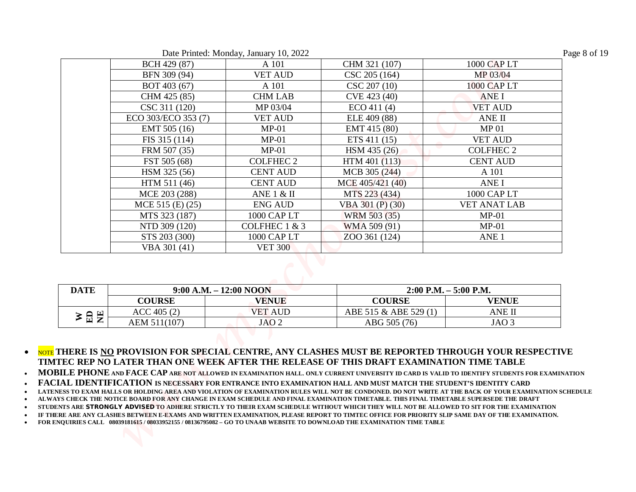| Date Printed: Monday, January 10, 2022 | Page 8 of 19 |
|----------------------------------------|--------------|
|----------------------------------------|--------------|

|     |                           | Date Printed: Monday, January 10, 2022 |                            |                          |
|-----|---------------------------|----------------------------------------|----------------------------|--------------------------|
|     | BCH 429 (87)              | A 101                                  | CHM 321 (107)              | 1000 CAP LT              |
|     | BFN 309 (94)              | <b>VET AUD</b>                         | CSC 205 (164)              | MP 03/04                 |
|     | BOT 403 (67)              | A 101                                  | CSC 207 (10)               | 1000 CAP LT              |
|     | CHM 425 (85)              | <b>CHM LAB</b>                         | CVE 423 (40)               | <b>ANEI</b>              |
|     | CSC 311 (120)             | MP 03/04                               | ECO 411(4)<br>ELE 409 (88) | <b>VET AUD</b>           |
|     | ECO 303/ECO 353 (7)       | <b>VET AUD</b>                         |                            | ANE II                   |
|     | EMT 505 (16)              | $MP-01$                                | EMT 415 (80)               | <b>MP01</b>              |
|     | FIS 315 (114)             | $MP-01$                                | ETS 411 (15)               | <b>VET AUD</b>           |
|     | FRM 507 (35)              | $MP-01$                                | HSM 435 (26)               | <b>COLFHEC 2</b>         |
|     | FST 505 (68)              | <b>COLFHEC 2</b>                       | HTM 401 (113)              | <b>CENT AUD</b>          |
|     | HSM 325 (56)              | <b>CENT AUD</b>                        | MCB 305 (244)              | A 101                    |
|     | HTM 511 (46)              | <b>CENT AUD</b>                        | MCE 405/421 (40)           | <b>ANEI</b>              |
|     | MCE 203 (288)             | ANE $1 & 1 \& 11$                      | MTS 223 (434)              | 1000 CAP LT              |
|     | $MCE$ 515 (E) (25)        | <b>ENG AUD</b>                         | VBA $301(P)$ $(30)$        | <b>VET ANAT LAB</b>      |
|     | MTS 323 (187)             | 1000 CAP LT                            | WRM 503 (35)               | $MP-01$                  |
|     | NTD 309 (120)             | COLFHEC 1 & 3                          | WMA 509 (91)               | $MP-01$                  |
|     | STS 203 (300)             | 1000 CAP LT                            | ZOO 361 (124)              | ANE <sub>1</sub>         |
|     | VBA 301 (41)              | <b>VET 300</b>                         |                            |                          |
|     | $9:00$ A.M. $-12:00$ NOON |                                        |                            | $2:00$ P.M. $-5:00$ P.M. |
|     | <b>COURSE</b>             | <b>VENUE</b>                           | <b>COURSE</b>              | <b>VENUE</b>             |
| ≥旨岂 | ACC 405 (2)               | <b>VET AUD</b>                         | ABE 515 & ABE 529 (1)      | <b>ANE II</b>            |
|     | AEM 511(107)              | JAO <sub>2</sub>                       | ABG 505 (76)               | JAO <sub>3</sub>         |

| <b>DATE</b> |              | $9:00$ A.M. $-12:00$ NOON |                       | $2:00$ P.M. $-5:00$ P.M. |
|-------------|--------------|---------------------------|-----------------------|--------------------------|
|             | COURSE       | <b>VENUE</b>              | <b>COURSE</b>         | <b>VENUE</b>             |
| 頁           | ACC 405 (2)  | <b>VET AUD</b>            | ABE 515 & ABE 529 (1) | ANE II                   |
| ≥ ⊞         | AEM 511(107) | JAO 2                     | ABG 505 (76)          | JAO 3                    |

**MOBILE PHONE AND FACE CAP ARE NOT ALLOWED IN EXAMINATION HALL. ONLY CURRENT UNIVERSITY ID CARD IS VALID TO IDENTIFY STUDENTS FOR EXAMINATION** 

**FACIAL IDENTIFICATION IS NECESSARY FOR ENTRANCE INTO EXAMINATION HALL AND MUST MATCH THE STUDENT'S IDENTITY CARD**

**LATENESS TO EXAM HALLS OR HOLDING AREA AND VIOLATION OF EXAMINATION RULES WILL NOT BE CONDONED. DO NOT WRITE AT THE BACK OF YOUR EXAMINATION SCHEDULE** 

**ALWAYS CHECK THE NOTICE BOARD FOR ANY CHANGE IN EXAM SCHEDULE AND FINAL EXAMINATION TIMETABLE. THIS FINAL TIMETABLE SUPERSEDE THE DRAFT** 

**STUDENTS ARE STRONGLY ADVISED TO ADHERE STRICTLY TO THEIR EXAM SCHEDULE WITHOUT WHICH THEY WILL NOT BE ALLOWED TO SIT FOR THE EXAMINATION** 

**IF THERE ARE ANY CLASHES BETWEEN E-EXAMS AND WRITTEN EXAMINATION, PLEASE REPORT TO TIMTEC OFFICE FOR PRIORITY SLIP SAME DAY OF THE EXAMINATION.**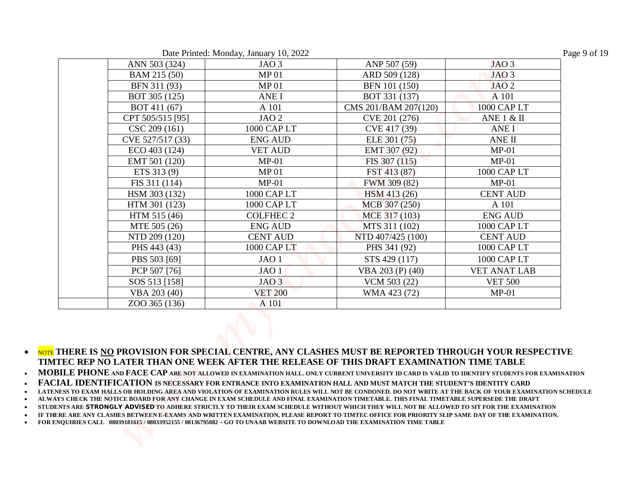| Date Printed: Monday, January 10, 2022 | Page 9 of 19 |
|----------------------------------------|--------------|
|----------------------------------------|--------------|

| ANN 503 (324)                     | Date Printed: Monday, January 10, 2022<br>JAO <sub>3</sub> | ANP 507 (59)                   | JAO <sub>3</sub>          |
|-----------------------------------|------------------------------------------------------------|--------------------------------|---------------------------|
|                                   |                                                            |                                |                           |
| BAM 215 (50)                      | <b>MP01</b>                                                | ARD 509 (128)                  | JAO <sub>3</sub>          |
| BFN 311 (93)                      | MP <sub>01</sub><br><b>ANEI</b>                            | BFN 101 (150)<br>BOT 331 (137) | JAO <sub>2</sub><br>A 101 |
| BOT 305 (125)<br>BOT 411 (67)     | A 101                                                      | CMS 201/BAM 207(120)           | 1000 CAP LT               |
|                                   | JAO <sub>2</sub>                                           |                                | ANE $1 & 1$               |
| CPT 505/515 [95]<br>CSC 209 (161) | 1000 CAP LT                                                | CVE 201 (276)<br>CVE 417 (39)  | ANE I                     |
| CVE 527/517 (33)                  | <b>ENG AUD</b>                                             | ELE 301 (75)                   | ANE II                    |
| ECO 403 (124)                     | <b>VET AUD</b>                                             | EMT 307 (92)                   | $MP-01$                   |
|                                   | $MP-01$                                                    |                                | $MP-01$                   |
| EMT 501 (120)<br>ETS 313 (9)      | <b>MP01</b>                                                | FIS 307 (115)<br>FST 413 (87)  | 1000 CAP LT               |
| FIS 311 (114)                     | $MP-01$                                                    |                                | $MP-01$                   |
|                                   |                                                            | FWM 309 (82)                   |                           |
| HSM 303 (132)                     | 1000 CAP LT                                                | HSM 413 (26)                   | <b>CENT AUD</b>           |
| HTM 301 (123)                     | 1000 CAP LT                                                | MCB 307 (250)                  | A 101                     |
| HTM 515 (46)                      | <b>COLFHEC 2</b>                                           | MCE 317 (103)                  | <b>ENG AUD</b>            |
| MTE 505 (26)                      | <b>ENG AUD</b>                                             | MTS 311 (102)                  | 1000 CAP LT               |
| NTD 209 (120)                     | <b>CENT AUD</b>                                            | NTD 407/425 (100)              | <b>CENT AUD</b>           |
| PHS 443 (43)                      | 1000 CAPLT                                                 | PHS 341 (92)                   | 1000 CAP LT               |
| PBS 503 [69]                      | JAO <sub>1</sub>                                           | STS 429 (117)                  | 1000 CAP LT               |
| PCP 507 [76]                      | JAO <sub>1</sub>                                           | VBA 203 (P) (40)               | <b>VET ANAT LAB</b>       |
| SOS 513 [158]                     | JAO <sub>3</sub>                                           | VCM 503 (22)                   | <b>VET 500</b>            |
| VBA 203 (40)                      | <b>VET 200</b>                                             | WMA 423 (72)                   | $MP-01$                   |
| ZOO 365 (136)                     | A 101                                                      |                                |                           |

- **MOBILE PHONE AND FACE CAP ARE NOT ALLOWED IN EXAMINATION HALL. ONLY CURRENT UNIVERSITY ID CARD IS VALID TO IDENTIFY STUDENTS FOR EXAMINATION**
- **FACIAL IDENTIFICATION IS NECESSARY FOR ENTRANCE INTO EXAMINATION HALL AND MUST MATCH THE STUDENT'S IDENTITY CARD**
- **LATENESS TO EXAM HALLS OR HOLDING AREA AND VIOLATION OF EXAMINATION RULES WILL NOT BE CONDONED. DO NOT WRITE AT THE BACK OF YOUR EXAMINATION SCHEDULE**
- **ALWAYS CHECK THE NOTICE BOARD FOR ANY CHANGE IN EXAM SCHEDULE AND FINAL EXAMINATION TIMETABLE. THIS FINAL TIMETABLE SUPERSEDE THE DRAFT**
- **STUDENTS ARE STRONGLY ADVISED TO ADHERE STRICTLY TO THEIR EXAM SCHEDULE WITHOUT WHICH THEY WILL NOT BE ALLOWED TO SIT FOR THE EXAMINATION**
- **IF THERE ARE ANY CLASHES BETWEEN E-EXAMS AND WRITTEN EXAMINATION, PLEASE REPORT TO TIMTEC OFFICE FOR PRIORITY SLIP SAME DAY OF THE EXAMINATION.**
- **FOR ENQUIRIES CALL 08039181615 / 08033952155 / 08136795082 GO TO UNAAB WEBSITE TO DOWNLOAD THE EXAMINATION TIME TABLE**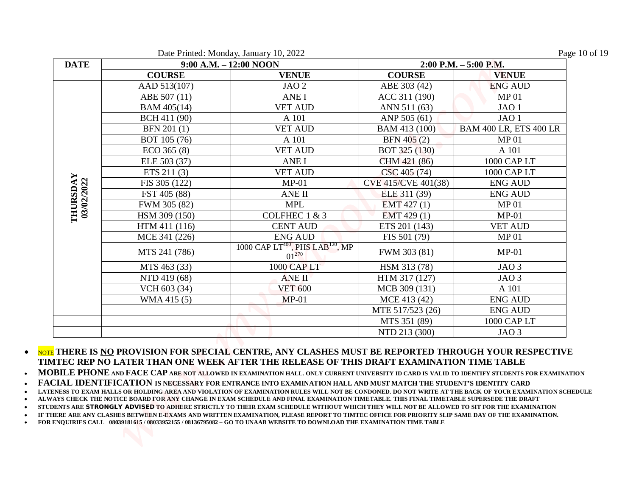|             |               | Date Printed: Monday, January 10, 2022                                 |                     | Page 10 of 19                 |
|-------------|---------------|------------------------------------------------------------------------|---------------------|-------------------------------|
| <b>DATE</b> |               | 9:00 A.M. - 12:00 NOON                                                 |                     | $2:00$ P.M. $-5:00$ P.M.      |
|             | <b>COURSE</b> | <b>VENUE</b>                                                           | <b>COURSE</b>       | <b>VENUE</b>                  |
|             | AAD 513(107)  | JAO <sub>2</sub>                                                       | ABE 303 (42)        | <b>ENG AUD</b>                |
|             | ABE 507 (11)  | <b>ANEI</b>                                                            | ACC 311 (190)       | MP <sub>01</sub>              |
|             | BAM 405(14)   | <b>VET AUD</b>                                                         | ANN 511 (63)        | JAO <sub>1</sub>              |
|             | BCH 411 (90)  | A 101                                                                  | ANP 505 (61)        | JAO <sub>1</sub>              |
|             | BFN 201 (1)   | <b>VET AUD</b>                                                         | BAM 413 (100)       | <b>BAM 400 LR, ETS 400 LR</b> |
|             | BOT 105 (76)  | A 101                                                                  | BFN 405 (2)         | MP <sub>01</sub>              |
|             | $ECO$ 365 (8) | <b>VET AUD</b>                                                         | BOT 325 (130)       | A 101                         |
|             | ELE 503 (37)  | <b>ANEI</b>                                                            | CHM 421 (86)        | 1000 CAP LT                   |
|             | ETS 211 (3)   | <b>VET AUD</b>                                                         | CSC 405 (74)        | 1000 CAP LT                   |
|             | FIS 305 (122) | $MP-01$                                                                | CVE 415/CVE 401(38) | <b>ENG AUD</b>                |
| 03/02/2022  | FST 405 (88)  | ANE II                                                                 | ELE 311 (39)        | <b>ENG AUD</b>                |
|             | FWM 305 (82)  | <b>MPL</b>                                                             | EMT 427 (1)         | MP <sub>01</sub>              |
| THURSDAY    | HSM 309 (150) | COLFHEC 1 & 3                                                          | EMT 429 (1)         | $MP-01$                       |
|             | HTM 411 (116) | <b>CENT AUD</b>                                                        | ETS 201 (143)       | <b>VET AUD</b>                |
|             | MCE 341 (226) | <b>ENG AUD</b>                                                         | FIS 501 (79)        | MP <sub>01</sub>              |
|             | MTS 241 (786) | 1000 CAP LT <sup>400</sup> , PHS LAB <sup>120</sup> , MP<br>$01^{270}$ | FWM 303 (81)        | $MP-01$                       |
|             | MTS 463 (33)  | 1000 CAP LT                                                            | HSM 313 (78)        | JAO <sub>3</sub>              |
|             | NTD 419 (68)  | <b>ANE II</b>                                                          | HTM 317 (127)       | JAO <sub>3</sub>              |
|             | VCH 603 (34)  | <b>VET 600</b>                                                         | MCB 309 (131)       | A 101                         |
|             | WMA 415 (5)   | $MP-01$                                                                | MCE 413 (42)        | <b>ENG AUD</b>                |
|             |               |                                                                        | MTE 517/523 (26)    | <b>ENG AUD</b>                |
|             |               |                                                                        | MTS 351 (89)        | 1000 CAP LT                   |
|             |               |                                                                        | NTD 213 (300)       | JAO <sub>3</sub>              |

**FACIAL IDENTIFICATION IS NECESSARY FOR ENTRANCE INTO EXAMINATION HALL AND MUST MATCH THE STUDENT'S IDENTITY CARD**

**ALWAYS CHECK THE NOTICE BOARD FOR ANY CHANGE IN EXAM SCHEDULE AND FINAL EXAMINATION TIMETABLE. THIS FINAL TIMETABLE SUPERSEDE THE DRAFT** 

**STUDENTS ARE STRONGLY ADVISED TO ADHERE STRICTLY TO THEIR EXAM SCHEDULE WITHOUT WHICH THEY WILL NOT BE ALLOWED TO SIT FOR THE EXAMINATION** 

**IF THERE ARE ANY CLASHES BETWEEN E-EXAMS AND WRITTEN EXAMINATION, PLEASE REPORT TO TIMTEC OFFICE FOR PRIORITY SLIP SAME DAY OF THE EXAMINATION.**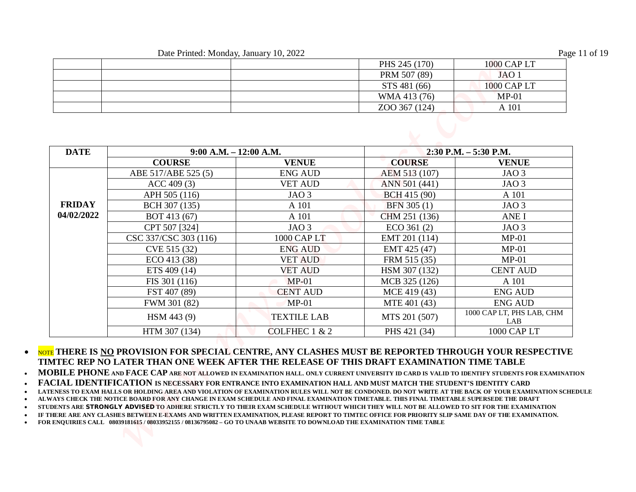|  | PHS 245 (170) | 1000 CAP LT |
|--|---------------|-------------|
|  | PRM 507 (89)  | JAO 1       |
|  | STS 481 (66)  | 1000 CAP LT |
|  | WMA 413 (76)  | $MP-01$     |
|  | ZOO 367 (124) | A 101       |

|               | Date Printed: Monday, January 10, 2022     |                    |                               |                                          |
|---------------|--------------------------------------------|--------------------|-------------------------------|------------------------------------------|
|               |                                            |                    |                               | Page 11 of 19                            |
|               |                                            |                    | PHS 245 (170)<br>PRM 507 (89) | 1000 CAP LT<br>JAO <sub>1</sub>          |
|               |                                            |                    | STS 481 (66)                  | 1000 CAP LT                              |
|               |                                            |                    | WMA 413 (76)                  | $MP-01$                                  |
|               |                                            |                    | ZOO 367 (124)                 | A 101                                    |
| <b>DATE</b>   | $9:00$ A.M. $-12:00$ A.M.<br><b>COURSE</b> | <b>VENUE</b>       | <b>COURSE</b>                 | $2:30$ P.M. $-5:30$ P.M.<br><b>VENUE</b> |
|               | ABE 517/ABE 525 (5)                        | <b>ENG AUD</b>     | AEM 513 (107)                 | JAO <sub>3</sub>                         |
|               | ACC 409 (3)                                | <b>VET AUD</b>     | ANN 501 (441)                 | JAO <sub>3</sub>                         |
|               | APH 505 (116)                              | JAO <sub>3</sub>   | BCH 415 (90)                  | A 101                                    |
| <b>FRIDAY</b> | BCH 307 (135)                              | A 101              | BFN 305 (1)                   | JAO <sub>3</sub>                         |
| 04/02/2022    | BOT 413 (67)                               | A 101              | CHM 251 (136)                 | ANE I                                    |
|               | CPT 507 [324]                              | JAO <sub>3</sub>   | ECO 361(2)                    | JAO <sub>3</sub>                         |
|               |                                            |                    | EMT 201 (114)                 | $MP-01$                                  |
|               | CSC 337/CSC 303 (116)                      | 1000 CAP LT        |                               |                                          |
|               | CVE 515 (32)                               | <b>ENG AUD</b>     | EMT 425 (47)                  | $MP-01$                                  |
|               | ECO 413 (38)                               | <b>VET AUD</b>     | FRM 515 (35)                  | $MP-01$                                  |
|               | ETS 409 (14)                               | <b>VET AUD</b>     | HSM 307 (132)                 | <b>CENT AUD</b>                          |
|               | FIS 301 (116)                              | $MP-01$            | MCB 325 (126)                 | A 101                                    |
|               | FST 407 (89)                               | <b>CENT AUD</b>    | MCE 419 (43)                  | <b>ENG AUD</b>                           |
|               | FWM 301 (82)                               | $MP-01$            | MTE 401 (43)                  | <b>ENG AUD</b>                           |
|               | HSM 443 (9)                                | <b>TEXTILE LAB</b> | MTS 201 (507)                 | 1000 CAP LT, PHS LAB, CHM<br>LAB         |

 NOTE **THERE IS NO PROVISION FOR SPECIAL CENTRE, ANY CLASHES MUST BE REPORTED THROUGH YOUR RESPECTIVE TIMTEC REP NO LATER THAN ONE WEEK AFTER THE RELEASE OF THIS DRAFT EXAMINATION TIME TABLE** 

**FACIAL IDENTIFICATION IS NECESSARY FOR ENTRANCE INTO EXAMINATION HALL AND MUST MATCH THE STUDENT'S IDENTITY CARD**

**ALWAYS CHECK THE NOTICE BOARD FOR ANY CHANGE IN EXAM SCHEDULE AND FINAL EXAMINATION TIMETABLE. THIS FINAL TIMETABLE SUPERSEDE THE DRAFT** 

**STUDENTS ARE STRONGLY ADVISED TO ADHERE STRICTLY TO THEIR EXAM SCHEDULE WITHOUT WHICH THEY WILL NOT BE ALLOWED TO SIT FOR THE EXAMINATION** 

**IF THERE ARE ANY CLASHES BETWEEN E-EXAMS AND WRITTEN EXAMINATION, PLEASE REPORT TO TIMTEC OFFICE FOR PRIORITY SLIP SAME DAY OF THE EXAMINATION.**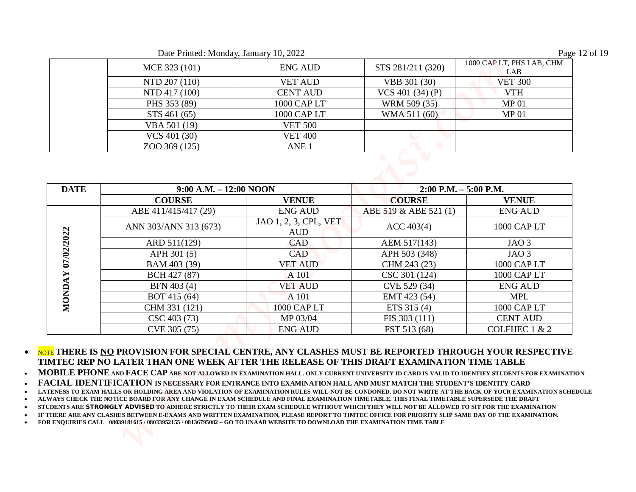Date Printed: Monday, January 10, 2022 Page 12 of 19

| $-$ we can even the context of the context $\sim$ . The context of $-$ |                  |                    | $  -$                            |
|------------------------------------------------------------------------|------------------|--------------------|----------------------------------|
| MCE 323 (101)                                                          | <b>ENG AUD</b>   | STS 281/211 (320)  | 1000 CAP LT, PHS LAB, CHM<br>LAB |
| NTD 207 (110)                                                          | <b>VET AUD</b>   | VBB 301 (30)       | <b>VET 300</b>                   |
| NTD 417 (100)                                                          | <b>CENT AUD</b>  | VCS 401 $(34)$ (P) | <b>VTH</b>                       |
| PHS 353 (89)                                                           | 1000 CAP LT      | WRM 509 (35)       | MP <sub>01</sub>                 |
| STS 461 (65)                                                           | 1000 CAP LT      | WMA 511 (60)       | MP <sub>01</sub>                 |
| VBA 501 (19)                                                           | <b>VET 500</b>   |                    |                                  |
| VCS 401 (30)                                                           | <b>VET 400</b>   |                    |                                  |
| ZOO 369 (125)                                                          | ANE <sub>1</sub> |                    |                                  |
|                                                                        |                  |                    |                                  |

|                     | Date Printed: Monday, January 10, 2022 |                                     |                              | Page 12 of 19                  |
|---------------------|----------------------------------------|-------------------------------------|------------------------------|--------------------------------|
|                     | MCE 323 (101)                          | <b>ENG AUD</b>                      | STS 281/211 (320)            | 1000 CAP LT, PHS LAB, CHM      |
|                     | NTD 207 (110)                          | <b>VET AUD</b>                      | VBB 301 (30)                 | LAB<br><b>VET 300</b>          |
|                     | NTD 417 (100)                          | <b>CENT AUD</b>                     | VCS 401 $(34)$ $(P)$         | <b>VTH</b>                     |
|                     | PHS 353 (89)                           | 1000 CAP LT                         | WRM 509 (35)                 | <b>MP01</b>                    |
|                     | STS 461 (65)                           | 1000 CAP LT                         | WMA 511 (60)                 | <b>MP01</b>                    |
|                     | VBA 501 (19)                           | <b>VET 500</b>                      |                              |                                |
|                     | VCS 401 (30)                           | <b>VET 400</b>                      |                              |                                |
|                     | ZOO 369 (125)                          | ANE <sub>1</sub>                    |                              |                                |
|                     | $9:00$ A.M. $-12:00$ NOON              |                                     |                              | $2:00$ P.M. $-5:00$ P.M.       |
|                     | <b>COURSE</b>                          | <b>VENUE</b>                        | <b>COURSE</b>                | <b>VENUE</b>                   |
|                     | ABE 411/415/417 (29)                   | <b>ENG AUD</b>                      | ABE 519 & ABE 521 (1)        | <b>ENG AUD</b>                 |
| <b>DATE</b>         | ANN 303/ANN 313 (673)                  | JAO 1, 2, 3, CPL, VET<br><b>AUD</b> | ACC 403(4)                   | 1000 CAP LT                    |
|                     | ARD 511(129)                           | <b>CAD</b>                          | AEM 517(143)                 | JAO <sub>3</sub>               |
|                     | APH 301 (5)                            | CAD                                 | APH 503 (348)                | JAO <sub>3</sub>               |
|                     | BAM 403 (39)                           | <b>VET AUD</b>                      | CHM 243 (23)                 | 1000 CAP LT                    |
|                     | BCH 427 (87)                           | A 101                               | CSC 301 (124)                | 1000 CAP LT                    |
|                     | BFN 403 (4)                            | <b>VET AUD</b>                      | CVE 529 (34)                 | <b>ENG AUD</b>                 |
|                     | BOT 415 (64)                           | A 101                               | EMT 423 (54)                 | <b>MPL</b>                     |
| 7/02/2022<br>NONDAY | CHM 331 (121)<br>CSC 403 (73)          | 1000 CAP LT<br>MP 03/04             | ETS 315 (4)<br>FIS 303 (111) | 1000 CAP LT<br><b>CENT AUD</b> |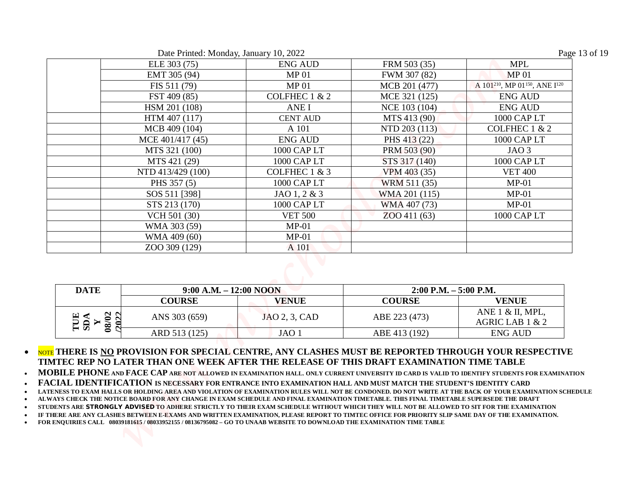|                                         | Date Printed: Monday, January 10, 2022                                     |                                                                                                                                                                                                                                                                                                                                                                                                                                                                                                                                                                                                                                                                           |                                | Page 13 of 19                                                                     |
|-----------------------------------------|----------------------------------------------------------------------------|---------------------------------------------------------------------------------------------------------------------------------------------------------------------------------------------------------------------------------------------------------------------------------------------------------------------------------------------------------------------------------------------------------------------------------------------------------------------------------------------------------------------------------------------------------------------------------------------------------------------------------------------------------------------------|--------------------------------|-----------------------------------------------------------------------------------|
|                                         | ELE 303 (75)                                                               | <b>ENG AUD</b>                                                                                                                                                                                                                                                                                                                                                                                                                                                                                                                                                                                                                                                            | FRM 503 (35)                   | <b>MPL</b>                                                                        |
|                                         | EMT 305 (94)                                                               | MP <sub>01</sub><br><b>MP01</b>                                                                                                                                                                                                                                                                                                                                                                                                                                                                                                                                                                                                                                           | FWM 307 (82)                   | <b>MP01</b><br>A 101 <sup>210</sup> , MP 01 <sup>150</sup> , ANE I <sup>120</sup> |
|                                         | FIS 511 (79)                                                               | COLFHEC 1 & 2                                                                                                                                                                                                                                                                                                                                                                                                                                                                                                                                                                                                                                                             | MCB 201 (477)<br>MCE 321 (125) | <b>ENG AUD</b>                                                                    |
|                                         | FST 409 (85)<br>HSM 201 (108)                                              | <b>ANEI</b>                                                                                                                                                                                                                                                                                                                                                                                                                                                                                                                                                                                                                                                               | NCE 103 (104)                  | <b>ENG AUD</b>                                                                    |
|                                         | HTM 407 (117)                                                              | <b>CENT AUD</b>                                                                                                                                                                                                                                                                                                                                                                                                                                                                                                                                                                                                                                                           | MTS 413 (90)                   | 1000 CAP LT                                                                       |
|                                         | MCB 409 (104)                                                              | A 101                                                                                                                                                                                                                                                                                                                                                                                                                                                                                                                                                                                                                                                                     | NTD 203 (113)                  | COLFHEC 1 & 2                                                                     |
|                                         | MCE 401/417 (45)                                                           | <b>ENG AUD</b>                                                                                                                                                                                                                                                                                                                                                                                                                                                                                                                                                                                                                                                            | PHS 413 (22)                   | 1000 CAP LT                                                                       |
|                                         | MTS 321 (100)                                                              | 1000 CAP LT                                                                                                                                                                                                                                                                                                                                                                                                                                                                                                                                                                                                                                                               | PRM 503 (90)                   | JAO <sub>3</sub>                                                                  |
|                                         | MTS 421 (29)                                                               | 1000 CAP LT                                                                                                                                                                                                                                                                                                                                                                                                                                                                                                                                                                                                                                                               | STS 317 (140)                  | 1000 CAP LT                                                                       |
|                                         | NTD 413/429 (100)                                                          | COLFHEC 1 & 3                                                                                                                                                                                                                                                                                                                                                                                                                                                                                                                                                                                                                                                             | VPM 403 (35)                   | <b>VET 400</b>                                                                    |
|                                         | PHS 357 (5)                                                                | 1000 CAP LT                                                                                                                                                                                                                                                                                                                                                                                                                                                                                                                                                                                                                                                               | WRM 511 (35)                   | $MP-01$                                                                           |
|                                         | SOS 511 [398]                                                              | JAO 1, 2 & 3                                                                                                                                                                                                                                                                                                                                                                                                                                                                                                                                                                                                                                                              | WMA 201 (115)                  | $MP-01$                                                                           |
|                                         | STS 213 (170)                                                              | 1000 CAP LT                                                                                                                                                                                                                                                                                                                                                                                                                                                                                                                                                                                                                                                               | WMA 407 (73)                   | $MP-01$                                                                           |
|                                         | VCH 501 (30)                                                               | <b>VET 500</b>                                                                                                                                                                                                                                                                                                                                                                                                                                                                                                                                                                                                                                                            | ZOO 411 (63)                   | 1000 CAP LT                                                                       |
|                                         |                                                                            |                                                                                                                                                                                                                                                                                                                                                                                                                                                                                                                                                                                                                                                                           |                                |                                                                                   |
|                                         |                                                                            |                                                                                                                                                                                                                                                                                                                                                                                                                                                                                                                                                                                                                                                                           |                                |                                                                                   |
|                                         |                                                                            |                                                                                                                                                                                                                                                                                                                                                                                                                                                                                                                                                                                                                                                                           |                                |                                                                                   |
|                                         |                                                                            |                                                                                                                                                                                                                                                                                                                                                                                                                                                                                                                                                                                                                                                                           |                                |                                                                                   |
|                                         |                                                                            |                                                                                                                                                                                                                                                                                                                                                                                                                                                                                                                                                                                                                                                                           |                                |                                                                                   |
|                                         | <b>COURSE</b>                                                              |                                                                                                                                                                                                                                                                                                                                                                                                                                                                                                                                                                                                                                                                           | <b>COURSE</b>                  |                                                                                   |
|                                         | ANS 303 (659)                                                              | JAO 2, 3, CAD                                                                                                                                                                                                                                                                                                                                                                                                                                                                                                                                                                                                                                                             | ABE 223 (473)                  | ANE 1 & II, MPL,<br>AGRIC LAB 1 & 2                                               |
|                                         | ARD 513 (125)                                                              | JAO <sub>1</sub>                                                                                                                                                                                                                                                                                                                                                                                                                                                                                                                                                                                                                                                          | ABE 413 (192)                  | <b>ENG AUD</b>                                                                    |
| <b>DATE</b><br>08/02<br>TUE<br>SDA<br>Y | WMA 303 (59)<br>WMA 409 (60)<br>ZOO 309 (129)<br>$9:00$ A.M. $-12:00$ NOON | $MP-01$<br>$MP-01$<br>A 101<br><b>VENUE</b><br>THERE IS <u>NO</u> PROVISION FOR SPECIAL CENTRE, ANY CLASHES MUST BE REPORTED THROUGH YOUR RESPECTIVE<br>IMTEC REP NO LATER THAN ONE WEEK AFTER THE RELEASE OF THIS DRAFT EXAMINATION TIME TABLE<br>[OBILE PHONE and FACE CAP are not allowed in examination hall. only current university id card is valid to identify students for examination<br>ACIAL IDENTIFICATION IS NECESSARY FOR ENTRANCE INTO EXAMINATION HALL AND MUST MATCH THE STUDENT'S IDENTITY CARD<br>TENESS TO EXAM HALLS OR HOLDING AREA AND VIOLATION OF EXAMINATION RULES WILL NOT BE CONDONED. DO NOT WRITE AT THE BACK OF YOUR EXAMINATION SCHEDULE | $2:00$ P.M. $-5:00$ P.M.       | <b>VENUE</b>                                                                      |

| Date Printed: Monday, January 10, 2022 |  |  |
|----------------------------------------|--|--|
|                                        |  |  |

| <b>DATE</b>             | $9:00$ A.M. $-12:00$ NOON |               | $2:00$ P.M. $-5:00$ P.M. |                                            |
|-------------------------|---------------------------|---------------|--------------------------|--------------------------------------------|
|                         | <b>COURSE</b>             | <b>VENUE</b>  | <b>COURSE</b>            | <b>VENUE</b>                               |
| Eã,<br>$\boldsymbol{8}$ | ANS 303 (659)             | JAO 2, 3, CAD | ABE 223 (473)            | ANE $1 \& II$ , MPL,<br>AGRIC LAB $1 \& 2$ |
|                         | ARD 513 (125)             | JAO 1         | ABE 413 (192)            | ENG AUD                                    |

- **NOTE THERE IS NO PROVISION FOR SPECIAL CENTRE, ANY CLASHES MUST BE REPORTED THROUGH YOUR RESPECTIVE TIMTEC REP NO LATER THAN ONE WEEK AFTER THE RELEASE OF THIS DRAFT EXAMINATION TIME TABLE**
- **MOBILE PHONE AND FACE CAP ARE NOT ALLOWED IN EXAMINATION HALL. ONLY CURRENT UNIVERSITY ID CARD IS VALID TO IDENTIFY STUDENTS FOR EXAMINATION**
- **FACIAL IDENTIFICATION IS NECESSARY FOR ENTRANCE INTO EXAMINATION HALL AND MUST MATCH THE STUDENT'S IDENTITY CARD**
- **LATENESS TO EXAM HALLS OR HOLDING AREA AND VIOLATION OF EXAMINATION RULES WILL NOT BE CONDONED. DO NOT WRITE AT THE BACK OF YOUR EXAMINATION SCHEDULE**
- **ALWAYS CHECK THE NOTICE BOARD FOR ANY CHANGE IN EXAM SCHEDULE AND FINAL EXAMINATION TIMETABLE. THIS FINAL TIMETABLE SUPERSEDE THE DRAFT**
- **STUDENTS ARE STRONGLY ADVISED TO ADHERE STRICTLY TO THEIR EXAM SCHEDULE WITHOUT WHICH THEY WILL NOT BE ALLOWED TO SIT FOR THE EXAMINATION**
- **IF THERE ARE ANY CLASHES BETWEEN E-EXAMS AND WRITTEN EXAMINATION, PLEASE REPORT TO TIMTEC OFFICE FOR PRIORITY SLIP SAME DAY OF THE EXAMINATION.**
- **FOR ENQUIRIES CALL 08039181615 / 08033952155 / 08136795082 GO TO UNAAB WEBSITE TO DOWNLOAD THE EXAMINATION TIME TABLE**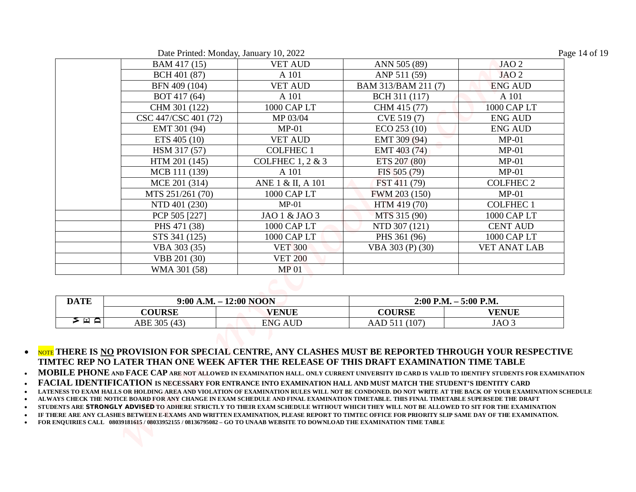| Date Printed: Monday, January 10, 2022 |  |  |  |  |
|----------------------------------------|--|--|--|--|
|----------------------------------------|--|--|--|--|

| ≻<br>⊡ A    | <b>COURSE</b><br>ABE 305 (43) | <b>VENUE</b><br><b>ENG AUD</b> | <b>COURSE</b><br>AAD 511 (107) | <b>VENUE</b><br>JAO <sub>3</sub> |
|-------------|-------------------------------|--------------------------------|--------------------------------|----------------------------------|
| <b>DATE</b> | $9:00$ A.M. $-12:00$ NOON     |                                | $2:00$ P.M. $-5:00$ P.M.       |                                  |
|             |                               |                                |                                |                                  |
|             |                               |                                |                                |                                  |
|             | WMA 301 (58)                  | MP <sub>01</sub>               |                                |                                  |
|             | VBB 201 (30)                  | <b>VET 200</b>                 |                                |                                  |
|             | VBA 303 (35)                  | <b>VET 300</b>                 | VBA 303 (P) (30)               | <b>VET ANAT LAB</b>              |
|             | STS 341 (125)                 | 1000 CAP LT                    | PHS 361 (96)                   | 1000 CAP LT                      |
|             | PHS 471 (38)                  | 1000 CAP LT                    | NTD 307 (121)                  | <b>CENT AUD</b>                  |
|             | PCP 505 [227]                 | JAO 1 & JAO 3                  | MTS 315 (90)                   | 1000 CAP LT                      |
|             | NTD 401 (230)                 | $MP-01$                        | HTM 419 (70)                   | <b>COLFHEC1</b>                  |
|             | MTS 251/261 (70)              | 1000 CAP LT                    | FWM 203 (150)                  | $MP-01$                          |
|             | MCE 201 (314)                 | ANE 1 & II, A 101              | FST 411 (79)                   | <b>COLFHEC 2</b>                 |
|             | MCB 111 (139)                 | A 101                          | FIS 505 (79)                   | $MP-01$                          |
|             | HTM 201 (145)                 | <b>COLFHEC 1, 2 &amp; 3</b>    | ETS 207 (80)                   | $MP-01$                          |
|             | HSM 317 (57)                  | <b>COLFHEC1</b>                | EMT 403 (74)                   | $MP-01$                          |
|             | ETS 405 (10)                  | <b>VET AUD</b>                 | EMT 309 (94)                   | $MP-01$                          |
|             | EMT 301 (94)                  | $MP-01$                        | ECO 253 (10)                   | <b>ENG AUD</b>                   |
|             | CSC 447/CSC 401 (72)          | MP 03/04                       | CVE 519 (7)                    | <b>ENG AUD</b>                   |
|             | CHM 301 (122)                 | 1000 CAP LT                    | CHM 415 (77)                   | 1000 CAP LT                      |
|             | BOT 417 (64)                  | A 101                          | BCH 311 (117)                  | A 101                            |
|             | BFN 409 (104)                 | <b>VET AUD</b>                 | BAM 313/BAM 211 (7)            | <b>ENG AUD</b>                   |
|             | BCH 401 (87)                  | A 101                          | ANP 511 (59)                   | JAO <sub>2</sub>                 |
|             | BAM 417 (15)                  | <b>VET AUD</b>                 | ANN 505 (89)                   | JAO <sub>2</sub>                 |

| <b>DATE</b> |               | $9:00$ A.M. $-12:00$ NOON | $2:00$ P.M. $-5:00$ P.M.  |              |
|-------------|---------------|---------------------------|---------------------------|--------------|
|             | <b>COURSE</b> | <b>VENUE</b>              | <b>COURSE</b>             | <b>VENUE</b> |
| ີ ⊑≀ ≙      | ABE 305 (43)  | <b>ENG AUD</b>            | 107<br>AAD51 <sub>1</sub> | JAO 3        |

 $\bullet$  Note there is <u>no</u> provision for special centre, any clashes must be reported through your respective **TIMTEC REP NO LATER THAN ONE WEEK AFTER THE RELEASE OF THIS DRAFT EXAMINATION TIME TABLE** 

**MOBILE PHONE AND FACE CAP ARE NOT ALLOWED IN EXAMINATION HALL. ONLY CURRENT UNIVERSITY ID CARD IS VALID TO IDENTIFY STUDENTS FOR EXAMINATION** 

**FACIAL IDENTIFICATION IS NECESSARY FOR ENTRANCE INTO EXAMINATION HALL AND MUST MATCH THE STUDENT'S IDENTITY CARD**

**LATENESS TO EXAM HALLS OR HOLDING AREA AND VIOLATION OF EXAMINATION RULES WILL NOT BE CONDONED. DO NOT WRITE AT THE BACK OF YOUR EXAMINATION SCHEDULE** 

**ALWAYS CHECK THE NOTICE BOARD FOR ANY CHANGE IN EXAM SCHEDULE AND FINAL EXAMINATION TIMETABLE. THIS FINAL TIMETABLE SUPERSEDE THE DRAFT** 

**STUDENTS ARE STRONGLY ADVISED TO ADHERE STRICTLY TO THEIR EXAM SCHEDULE WITHOUT WHICH THEY WILL NOT BE ALLOWED TO SIT FOR THE EXAMINATION** 

**IF THERE ARE ANY CLASHES BETWEEN E-EXAMS AND WRITTEN EXAMINATION, PLEASE REPORT TO TIMTEC OFFICE FOR PRIORITY SLIP SAME DAY OF THE EXAMINATION.**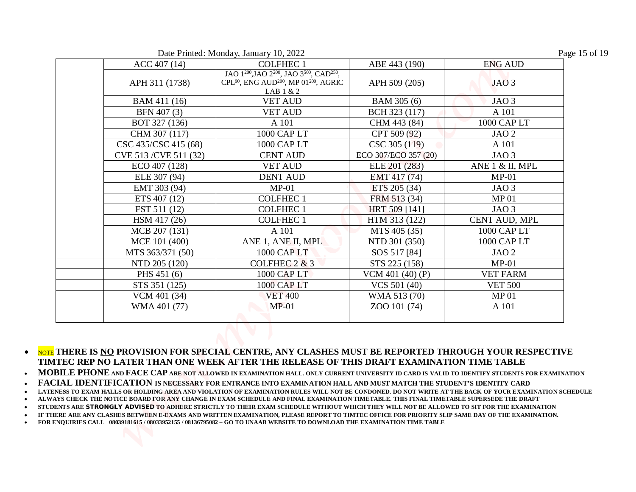Date Printed: Monday, January 10, 2022

| Page 15 of 19 |  |  |
|---------------|--|--|
|---------------|--|--|

|                        | Date Printed: Monday, January 10, 2022                                                                                                                                              |                              |                  |
|------------------------|-------------------------------------------------------------------------------------------------------------------------------------------------------------------------------------|------------------------------|------------------|
| ACC 407 (14)           | <b>COLFHEC1</b>                                                                                                                                                                     | ABE 443 (190)                | <b>ENG AUD</b>   |
| APH 311 (1738)         | JAO 1 <sup>200</sup> , JAO 2 <sup>200</sup> , JAO 3 <sup>500</sup> , CAD <sup>250</sup> ,<br>CPL <sup>90</sup> , ENG AUD <sup>200</sup> , MP 01 <sup>200</sup> , AGRIC<br>LAB 1 & 2 | APH 509 (205)                | JAO <sub>3</sub> |
| BAM 411 (16)           | <b>VET AUD</b>                                                                                                                                                                      | BAM 305 (6)                  | JAO <sub>3</sub> |
| BFN 407 (3)            | <b>VET AUD</b>                                                                                                                                                                      | BCH 323 (117)                | A 101            |
| BOT 327 (136)          | A 101                                                                                                                                                                               | CHM 443 (84)                 | 1000 CAP LT      |
| CHM 307 (117)          | 1000 CAP LT                                                                                                                                                                         | CPT 509 (92)                 | JAO <sub>2</sub> |
| CSC 435/CSC 415 (68)   | 1000 CAP LT                                                                                                                                                                         | CSC 305 (119)                | A 101            |
| CVE 513 / CVE 511 (32) | <b>CENT AUD</b>                                                                                                                                                                     | ECO 307/ECO 357 (20)         | JAO <sub>3</sub> |
| ECO 407 (128)          | <b>VET AUD</b>                                                                                                                                                                      | ELE 201 (283)                | ANE 1 & II, MPL  |
| ELE 307 (94)           | <b>DENT AUD</b>                                                                                                                                                                     | EMT 417 (74)                 | $MP-01$          |
| EMT 303 (94)           | $MP-01$                                                                                                                                                                             | ETS 205 (34)                 | JAO <sub>3</sub> |
| ETS 407 (12)           | <b>COLFHEC1</b>                                                                                                                                                                     | FRM 513 (34)                 | <b>MP01</b>      |
| FST 511 (12)           | <b>COLFHEC1</b>                                                                                                                                                                     | HRT 509 [141]                | JAO <sub>3</sub> |
| HSM 417 (26)           | <b>COLFHEC1</b>                                                                                                                                                                     | HTM 313 (122)                | CENT AUD, MPL    |
| MCB 207 (131)          | A 101                                                                                                                                                                               | MTS 405 (35)                 | 1000 CAP LT      |
| MCE 101 (400)          |                                                                                                                                                                                     | NTD 301 (350)                | 1000 CAP LT      |
|                        | ANE 1, ANE II, MPL<br>1000 CAP LT                                                                                                                                                   |                              | JAO <sub>2</sub> |
| MTS 363/371 (50)       |                                                                                                                                                                                     | SOS 517 [84]                 |                  |
| NTD 205 (120)          | COLFHEC $2 & 3$                                                                                                                                                                     | STS 225 (158)                | $MP-01$          |
| PHS 451 (6)            | 1000 CAP LT                                                                                                                                                                         | VCM 401 $(40)$ (P)           | <b>VET FARM</b>  |
| STS 351 (125)          | 1000 CAP LT                                                                                                                                                                         | VCS 501 (40)<br>WMA 513 (70) | <b>VET 500</b>   |
| VCM 401 (34)           | <b>VET 400</b>                                                                                                                                                                      |                              | MP <sub>01</sub> |
| WMA 401 (77)           | $MP-01$                                                                                                                                                                             | ZOO 101 (74)                 | A 101            |

**MOBILE PHONE AND FACE CAP ARE NOT ALLOWED IN EXAMINATION HALL. ONLY CURRENT UNIVERSITY ID CARD IS VALID TO IDENTIFY STUDENTS FOR EXAMINATION** 

**FACIAL IDENTIFICATION IS NECESSARY FOR ENTRANCE INTO EXAMINATION HALL AND MUST MATCH THE STUDENT'S IDENTITY CARD**

**LATENESS TO EXAM HALLS OR HOLDING AREA AND VIOLATION OF EXAMINATION RULES WILL NOT BE CONDONED. DO NOT WRITE AT THE BACK OF YOUR EXAMINATION SCHEDULE** 

**ALWAYS CHECK THE NOTICE BOARD FOR ANY CHANGE IN EXAM SCHEDULE AND FINAL EXAMINATION TIMETABLE. THIS FINAL TIMETABLE SUPERSEDE THE DRAFT** 

**STUDENTS ARE STRONGLY ADVISED TO ADHERE STRICTLY TO THEIR EXAM SCHEDULE WITHOUT WHICH THEY WILL NOT BE ALLOWED TO SIT FOR THE EXAMINATION** 

**IF THERE ARE ANY CLASHES BETWEEN E-EXAMS AND WRITTEN EXAMINATION, PLEASE REPORT TO TIMTEC OFFICE FOR PRIORITY SLIP SAME DAY OF THE EXAMINATION.**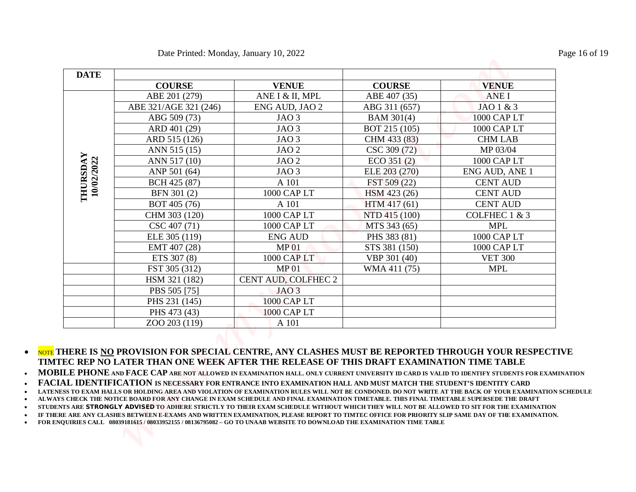|                        |                       | Date Printed: Monday, January 10, 2022 |                 |                 |
|------------------------|-----------------------|----------------------------------------|-----------------|-----------------|
|                        |                       |                                        |                 |                 |
| <b>DATE</b>            | <b>COURSE</b>         | <b>VENUE</b>                           | <b>COURSE</b>   | <b>VENUE</b>    |
|                        | ABE 201 (279)         | ANE I & II, MPL                        | ABE 407 (35)    | <b>ANEI</b>     |
|                        | ABE 321/AGE 321 (246) | ENG AUD, JAO 2                         | ABG 311 (657)   | JAO 1 & 3       |
|                        | ABG 509 (73)          | JAO <sub>3</sub>                       | BAM 301(4)      | 1000 CAP LT     |
|                        | ARD 401 (29)          | JAO <sub>3</sub>                       | BOT 215 (105)   | 1000 CAP LT     |
|                        | ARD 515 (126)         | JAO <sub>3</sub>                       | CHM 433 (83)    | <b>CHM LAB</b>  |
|                        | ANN 515 (15)          | JAO <sub>2</sub>                       | CSC 309 (72)    | MP 03/04        |
|                        | ANN 517 (10)          | JAO <sub>2</sub>                       | $ECO$ 351 $(2)$ | 1000 CAP LT     |
|                        | ANP 501 (64)          | JAO <sub>3</sub>                       | ELE 203 (270)   | ENG AUD, ANE 1  |
|                        | BCH 425 (87)          | A 101                                  | FST 509 (22)    | <b>CENT AUD</b> |
| THURSDAY<br>10/02/2022 | BFN 301 (2)           | 1000 CAP LT                            | HSM 423 (26)    | <b>CENT AUD</b> |
|                        | BOT 405 (76)          | A 101                                  | HTM 417 (61)    | <b>CENT AUD</b> |
|                        | CHM 303 (120)         | 1000 CAP LT                            | NTD 415 (100)   | COLFHEC 1 & 3   |
|                        | CSC 407 (71)          | 1000 CAP LT                            | MTS 343 (65)    | <b>MPL</b>      |
|                        | ELE 305 (119)         | <b>ENG AUD</b>                         | PHS 383 (81)    | 1000 CAP LT     |
|                        | EMT 407 (28)          | MP <sub>01</sub>                       | STS 381 (150)   | 1000 CAP LT     |
|                        | ETS 307 (8)           | 1000 CAP LT                            | VBP 301 (40)    | <b>VET 300</b>  |
|                        | FST 305 (312)         | MP <sub>01</sub>                       | WMA 411 (75)    | <b>MPL</b>      |
|                        | HSM 321 (182)         | CENT AUD, COLFHEC 2                    |                 |                 |
|                        | PBS 505 [75]          | JAO <sub>3</sub>                       |                 |                 |
|                        | PHS 231 (145)         | 1000 CAP LT                            |                 |                 |
|                        | PHS 473 (43)          | 1000 CAP LT                            |                 |                 |
|                        | ZOO 203 (119)         | A 101                                  |                 |                 |

 $\bullet$  Note there is <u>no</u> provision for special centre, any clashes must be reported through your respective **TIMTEC REP NO LATER THAN ONE WEEK AFTER THE RELEASE OF THIS DRAFT EXAMINATION TIME TABLE** 

**MOBILE PHONE AND FACE CAP ARE NOT ALLOWED IN EXAMINATION HALL. ONLY CURRENT UNIVERSITY ID CARD IS VALID TO IDENTIFY STUDENTS FOR EXAMINATION** 

**FACIAL IDENTIFICATION IS NECESSARY FOR ENTRANCE INTO EXAMINATION HALL AND MUST MATCH THE STUDENT'S IDENTITY CARD**

**LATENESS TO EXAM HALLS OR HOLDING AREA AND VIOLATION OF EXAMINATION RULES WILL NOT BE CONDONED. DO NOT WRITE AT THE BACK OF YOUR EXAMINATION SCHEDULE** 

**ALWAYS CHECK THE NOTICE BOARD FOR ANY CHANGE IN EXAM SCHEDULE AND FINAL EXAMINATION TIMETABLE. THIS FINAL TIMETABLE SUPERSEDE THE DRAFT** 

**STUDENTS ARE STRONGLY ADVISED TO ADHERE STRICTLY TO THEIR EXAM SCHEDULE WITHOUT WHICH THEY WILL NOT BE ALLOWED TO SIT FOR THE EXAMINATION** 

**IF THERE ARE ANY CLASHES BETWEEN E-EXAMS AND WRITTEN EXAMINATION, PLEASE REPORT TO TIMTEC OFFICE FOR PRIORITY SLIP SAME DAY OF THE EXAMINATION.**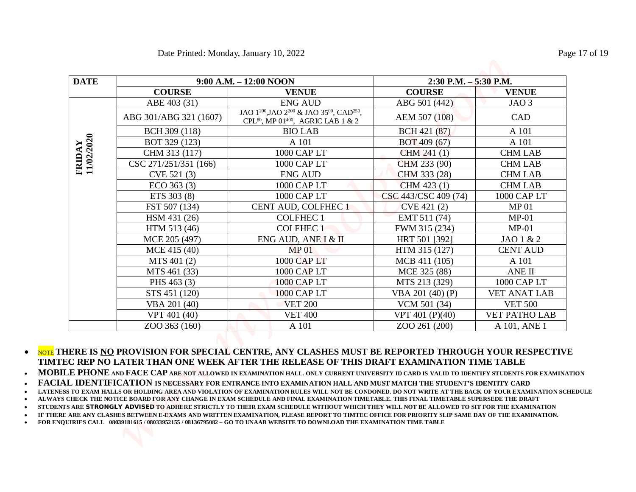|                      |                        | Date Printed: Monday, January 10, 2022                                                                                                      |                          |                      |
|----------------------|------------------------|---------------------------------------------------------------------------------------------------------------------------------------------|--------------------------|----------------------|
| <b>DATE</b>          |                        | $9:00$ A.M. $-12:00$ NOON                                                                                                                   | $2:30$ P.M. $-5:30$ P.M. |                      |
|                      | <b>COURSE</b>          | <b>VENUE</b>                                                                                                                                | <b>COURSE</b>            | <b>VENUE</b>         |
|                      | ABE 403 (31)           | <b>ENG AUD</b>                                                                                                                              | ABG 501 (442)            | JAO <sub>3</sub>     |
|                      | ABG 301/ABG 321 (1607) | JAO 1 <sup>200</sup> , JAO 2 <sup>200</sup> & JAO 35 <sup>00</sup> , CAD <sup>250</sup> ,<br>CPL $^{80}$ , MP 01 $^{400}$ , AGRIC LAB 1 & 2 | AEM 507 (108)            | CAD                  |
|                      | BCH 309 (118)          | <b>BIO LAB</b>                                                                                                                              | BCH 421 (87)             | A 101                |
|                      | BOT 329 (123)          | A 101                                                                                                                                       | BOT 409 (67)             | A 101                |
|                      | CHM 313 (117)          | 1000 CAP LT                                                                                                                                 | CHM 241 (1)              | <b>CHM LAB</b>       |
|                      | CSC 271/251/351 (166)  | 1000 CAP LT                                                                                                                                 | CHM 233 (90)             | <b>CHM LAB</b>       |
| FRIDAY<br>11/02/2020 | CVE 521 (3)            | <b>ENG AUD</b>                                                                                                                              | CHM 333 (28)             | <b>CHM LAB</b>       |
|                      | $ECO$ 363 $(3)$        | 1000 CAP LT                                                                                                                                 | CHM 423 (1)              | <b>CHM LAB</b>       |
|                      | ETS 303 (8)            | 1000 CAP LT                                                                                                                                 | CSC 443/CSC 409 (74)     | 1000 CAP LT          |
|                      | FST 507 (134)          | CENT AUD, COLFHEC 1                                                                                                                         | CVE 421 (2)              | <b>MP01</b>          |
|                      | HSM 431 (26)           | <b>COLFHEC1</b>                                                                                                                             | EMT 511 (74)             | $MP-01$              |
|                      | HTM 513 (46)           | <b>COLFHEC1</b>                                                                                                                             | FWM 315 (234)            | $MP-01$              |
|                      | MCE 205 (497)          | ENG AUD, ANE I & II                                                                                                                         | HRT 501 [392]            | JAO 1 & 2            |
|                      | MCE 415 (40)           | <b>MP01</b>                                                                                                                                 | HTM 315 (127)            | <b>CENT AUD</b>      |
|                      | MTS 401 (2)            | 1000 CAP LT                                                                                                                                 | MCB 411 (105)            | A 101                |
|                      | MTS 461 (33)           | 1000 CAP LT                                                                                                                                 | MCE 325 (88)             | ANE II               |
|                      | PHS 463 (3)            | 1000 CAP LT                                                                                                                                 | MTS 213 (329)            | 1000 CAP LT          |
|                      | STS 451 (120)          | <b>1000 CAP LT</b>                                                                                                                          | VBA 201 (40) (P)         | <b>VET ANAT LAB</b>  |
|                      | VBA 201 (40)           | <b>VET 200</b>                                                                                                                              | VCM 501 (34)             | <b>VET 500</b>       |
|                      | VPT 401 (40)           | <b>VET 400</b>                                                                                                                              | VPT 401 (P)(40)          | <b>VET PATHO LAB</b> |
|                      | ZOO 363 (160)          | A 101                                                                                                                                       | ZOO 261 (200)            | A 101, ANE 1         |

**MOBILE PHONE AND FACE CAP ARE NOT ALLOWED IN EXAMINATION HALL. ONLY CURRENT UNIVERSITY ID CARD IS VALID TO IDENTIFY STUDENTS FOR EXAMINATION** 

**FACIAL IDENTIFICATION IS NECESSARY FOR ENTRANCE INTO EXAMINATION HALL AND MUST MATCH THE STUDENT'S IDENTITY CARD**

**LATENESS TO EXAM HALLS OR HOLDING AREA AND VIOLATION OF EXAMINATION RULES WILL NOT BE CONDONED. DO NOT WRITE AT THE BACK OF YOUR EXAMINATION SCHEDULE** 

**ALWAYS CHECK THE NOTICE BOARD FOR ANY CHANGE IN EXAM SCHEDULE AND FINAL EXAMINATION TIMETABLE. THIS FINAL TIMETABLE SUPERSEDE THE DRAFT** 

**STUDENTS ARE STRONGLY ADVISED TO ADHERE STRICTLY TO THEIR EXAM SCHEDULE WITHOUT WHICH THEY WILL NOT BE ALLOWED TO SIT FOR THE EXAMINATION** 

**IF THERE ARE ANY CLASHES BETWEEN E-EXAMS AND WRITTEN EXAMINATION, PLEASE REPORT TO TIMTEC OFFICE FOR PRIORITY SLIP SAME DAY OF THE EXAMINATION.**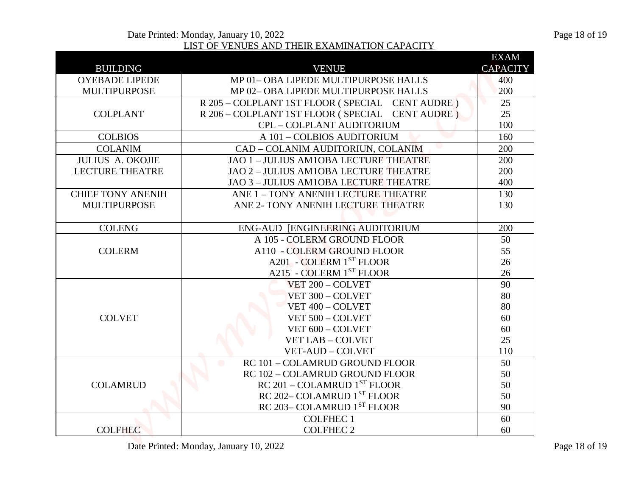|                          | Date Printed: Monday, January 10, 2022           |                 | Page 18 of 19             |
|--------------------------|--------------------------------------------------|-----------------|---------------------------|
|                          | LIST OF VENUES AND THEIR EXAMINATION CAPACITY    |                 |                           |
|                          |                                                  | <b>EXAM</b>     |                           |
| <b>BUILDING</b>          | <b>VENUE</b>                                     | <b>CAPACITY</b> |                           |
| <b>OYEBADE LIPEDE</b>    | MP 01-OBA LIPEDE MULTIPURPOSE HALLS              | 400             |                           |
| <b>MULTIPURPOSE</b>      | MP 02-OBA LIPEDE MULTIPURPOSE HALLS              | 200             |                           |
|                          | R 205 - COLPLANT 1ST FLOOR (SPECIAL CENT AUDRE)  | 25              |                           |
| <b>COLPLANT</b>          | R 206 - COLPLANT 1ST FLOOR (SPECIAL CENT AUDRE)  | 25              |                           |
|                          | CPL - COLPLANT AUDITORIUM                        | 100             |                           |
| <b>COLBIOS</b>           | A 101 - COLBIOS AUDITORIUM                       | 160             |                           |
| <b>COLANIM</b>           | CAD - COLANIM AUDITORIUN, COLANIM                | 200             |                           |
| <b>JULIUS A. OKOJIE</b>  | JAO 1 - JULIUS AM1OBA LECTURE THEATRE            | 200             |                           |
| <b>LECTURE THEATRE</b>   | JAO 2 - JULIUS AM1OBA LECTURE THEATRE            | 200             |                           |
|                          | JAO 3 - JULIUS AM1OBA LECTURE THEATRE            | 400             |                           |
| <b>CHIEF TONY ANENIH</b> | ANE 1 - TONY ANENIH LECTURE THEATRE              | 130             |                           |
| <b>MULTIPURPOSE</b>      | ANE 2- TONY ANENIH LECTURE THEATRE               | 130             |                           |
|                          |                                                  |                 |                           |
| <b>COLENG</b>            | ENG-AUD [ENGINEERING AUDITORIUM                  | 200             |                           |
|                          | A 105 - COLERM GROUND FLOOR                      | 50              |                           |
| <b>COLERM</b>            | A110 - COLERM GROUND FLOOR                       | 55              |                           |
|                          | A201 - COLERM 1ST FLOOR                          | 26              |                           |
|                          | A215 - COLERM 1ST FLOOR                          | 26              |                           |
|                          | VET 200 - COLVET                                 | 90              |                           |
|                          | VET 300 - COLVET                                 | 80              |                           |
|                          | VET 400 - COLVET                                 | 80              |                           |
| <b>COLVET</b>            | VET 500 - COLVET                                 | 60              |                           |
|                          | VET 600 - COLVET                                 | 60              |                           |
|                          | <b>VET LAB - COLVET</b>                          | 25              |                           |
|                          | VET-AUD - COLVET                                 | 110             |                           |
|                          | RC 101 - COLAMRUD GROUND FLOOR<br>$\blacksquare$ | 50              |                           |
|                          | RC 102 - COLAMRUD GROUND FLOOR                   | 50              |                           |
| <b>COLAMRUD</b>          | $RC 201 - COLAMRUD 1ST FLOOR$                    | 50              |                           |
|                          | RC 202-COLAMRUD 1ST FLOOR                        | 50              |                           |
|                          | RC 203-COLAMRUD 1ST FLOOR                        | 90              |                           |
|                          | <b>COLFHEC1</b>                                  | 60              |                           |
| <b>COLFHEC</b>           | <b>COLFHEC 2</b>                                 | 60              |                           |
|                          | Date Printed: Monday January 10 2022             |                 | P <sub>309</sub> 18 of 19 |

Date Printed: Monday, January 10, 2022 Page 18 of 19